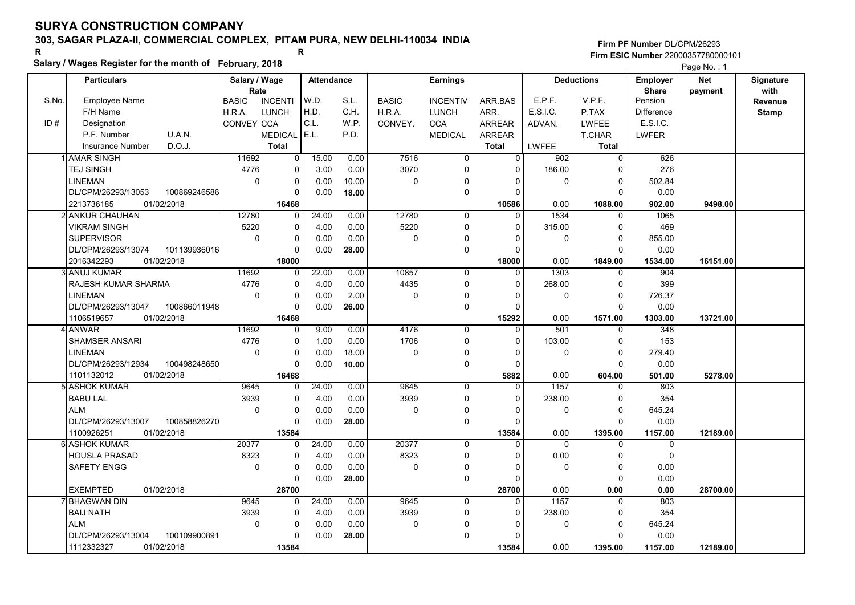# 303, SAGAR PLAZA-II, COMMERCIAL COMPLEX, PITAM PURA, NEW DELHI-110034 INDIA

### Salary / Wages Register for the month of February, 2018

|       | Salary / wages Register for the month of February, 2018 |               |                |                   |       |              |                 |                | Page No.: 1      |                   |                 |            |                  |
|-------|---------------------------------------------------------|---------------|----------------|-------------------|-------|--------------|-----------------|----------------|------------------|-------------------|-----------------|------------|------------------|
|       | <b>Particulars</b>                                      | Salary / Wage |                | <b>Attendance</b> |       |              | <b>Earnings</b> |                |                  | <b>Deductions</b> | <b>Employer</b> | <b>Net</b> | <b>Signature</b> |
|       |                                                         | Rate          |                |                   |       |              |                 |                |                  |                   | <b>Share</b>    | payment    | with             |
| S.No. | Employee Name                                           | <b>BASIC</b>  | <b>INCENTI</b> | W.D.              | S.L.  | <b>BASIC</b> | <b>INCENTIV</b> | ARR BAS        | E.P.F.           | V.P.F.            | Pension         |            | Revenue          |
|       | F/H Name                                                | H.R.A.        | <b>LUNCH</b>   | H.D.              | C.H.  | H.R.A.       | <b>LUNCH</b>    | ARR.           | E.S.I.C.         | P.TAX             | Difference      |            | <b>Stamp</b>     |
| ID#   | Designation                                             | CONVEY CCA    |                | C.L.              | W.P.  | CONVEY.      | <b>CCA</b>      | <b>ARREAR</b>  | ADVAN.           | <b>LWFEE</b>      | E.S.I.C.        |            |                  |
|       | U.A.N.<br>P.F. Number                                   |               | <b>MEDICAL</b> | E.L.              | P.D.  |              | <b>MEDICAL</b>  | <b>ARREAR</b>  |                  | <b>T.CHAR</b>     | <b>LWFER</b>    |            |                  |
|       | D.O.J.<br><b>Insurance Number</b>                       |               | <b>Total</b>   |                   |       |              |                 | <b>Total</b>   | LWFEE            | <b>Total</b>      |                 |            |                  |
|       | <b>AMAR SINGH</b>                                       | 11692         | 0              | 15.00             | 0.00  | 7516         | $\overline{0}$  | $\overline{0}$ | 902              | $\overline{0}$    | 626             |            |                  |
|       | <b>TEJ SINGH</b>                                        | 4776          | 0              | 3.00              | 0.00  | 3070         | 0               | $\Omega$       | 186.00           | $\mathbf 0$       | 276             |            |                  |
|       | <b>LINEMAN</b>                                          | $\mathbf 0$   | $\mathbf 0$    | 0.00              | 10.00 | $\mathbf 0$  | 0               | $\Omega$       | $\mathbf 0$      | $\mathbf 0$       | 502.84          |            |                  |
|       | DL/CPM/26293/13053<br>100869246586                      |               | $\Omega$       | 0.00              | 18.00 |              | 0               | $\Omega$       |                  | $\Omega$          | 0.00            |            |                  |
|       | 2213736185<br>01/02/2018                                |               | 16468          |                   |       |              |                 | 10586          | 0.00             | 1088.00           | 902.00          | 9498.00    |                  |
|       | 2 ANKUR CHAUHAN                                         | 12780         | $\Omega$       | 24.00             | 0.00  | 12780        | 0               | $\Omega$       | 1534             | $\mathbf{0}$      | 1065            |            |                  |
|       | <b>VIKRAM SINGH</b>                                     | 5220          | 0              | 4.00              | 0.00  | 5220         | 0               | $\Omega$       | 315.00           | $\Omega$          | 469             |            |                  |
|       | <b>SUPERVISOR</b>                                       | $\mathbf 0$   | $\mathbf 0$    | 0.00              | 0.00  | $\mathbf 0$  | 0               | $\Omega$       | 0                | $\Omega$          | 855.00          |            |                  |
|       | DL/CPM/26293/13074<br>101139936016                      |               | $\Omega$       | 0.00              | 28.00 |              | 0               | $\Omega$       |                  | $\Omega$          | 0.00            |            |                  |
|       | 2016342293<br>01/02/2018                                |               | 18000          |                   |       |              |                 | 18000          | 0.00             | 1849.00           | 1534.00         | 16151.00   |                  |
|       | 3 ANUJ KUMAR                                            | 11692         | $\Omega$       | 22.00             | 0.00  | 10857        | $\mathbf 0$     | $\Omega$       | 1303             | $\mathbf 0$       | 904             |            |                  |
|       | RAJESH KUMAR SHARMA                                     | 4776          | $\mathbf 0$    | 4.00              | 0.00  | 4435         | 0               | $\Omega$       | 268.00           | $\Omega$          | 399             |            |                  |
|       | <b>LINEMAN</b>                                          | $\mathbf 0$   | $\mathbf 0$    | 0.00              | 2.00  | $\mathbf 0$  | 0               | $\Omega$       | $\mathbf 0$      | $\mathbf 0$       | 726.37          |            |                  |
|       | DL/CPM/26293/13047<br>100866011948                      |               | $\mathbf 0$    | 0.00              | 26.00 |              | 0               | $\Omega$       |                  | $\Omega$          | 0.00            |            |                  |
|       | 01/02/2018<br>1106519657                                |               | 16468          |                   |       |              |                 | 15292          | 0.00             | 1571.00           | 1303.00         | 13721.00   |                  |
|       | 4 ANWAR                                                 | 11692         | 0              | 9.00              | 0.00  | 4176         | $\mathbf 0$     | $\Omega$       | $\overline{501}$ | $\mathbf{0}$      | 348             |            |                  |
|       | SHAMSER ANSARI                                          | 4776          | $\mathbf 0$    | 1.00              | 0.00  | 1706         | 0               | $\Omega$       | 103.00           | $\Omega$          | 153             |            |                  |
|       | <b>LINEMAN</b>                                          | $\mathbf 0$   | $\pmb{0}$      | 0.00              | 18.00 | $\pmb{0}$    | $\Omega$        | $\Omega$       | 0                | $\mathbf 0$       | 279.40          |            |                  |
|       | DL/CPM/26293/12934<br>100498248650                      |               | $\Omega$       | 0.00              | 10.00 |              | 0               | $\Omega$       |                  | $\Omega$          | 0.00            |            |                  |
|       | 1101132012<br>01/02/2018                                |               | 16468          |                   |       |              |                 | 5882           | 0.00             | 604.00            | 501.00          | 5278.00    |                  |
|       | 5 ASHOK KUMAR                                           | 9645          | $\mathbf 0$    | 24.00             | 0.00  | 9645         | $\mathbf 0$     | $\mathbf 0$    | 1157             | $\mathbf 0$       | 803             |            |                  |
|       | <b>BABU LAL</b>                                         | 3939          | $\mathbf 0$    | 4.00              | 0.00  | 3939         | 0               | $\Omega$       | 238.00           | $\mathbf 0$       | 354             |            |                  |
|       | <b>ALM</b>                                              | $\mathbf 0$   | $\mathbf 0$    | 0.00              | 0.00  | $\Omega$     | 0               | $\Omega$       | $\Omega$         | $\Omega$          | 645.24          |            |                  |
|       | DL/CPM/26293/13007<br>100858826270                      |               | $\mathbf 0$    | 0.00              | 28.00 |              | 0               | $\Omega$       |                  | $\Omega$          | 0.00            |            |                  |
|       | 1100926251<br>01/02/2018                                |               | 13584          |                   |       |              |                 | 13584          | 0.00             | 1395.00           | 1157.00         | 12189.00   |                  |
|       | 6 ASHOK KUMAR                                           | 20377         | $\Omega$       | 24.00             | 0.00  | 20377        | $\overline{0}$  | U              | $\overline{0}$   | $\Omega$          | $\overline{0}$  |            |                  |
|       | <b>HOUSLA PRASAD</b>                                    | 8323          | 0              | 4.00              | 0.00  | 8323         | 0               | $\Omega$       | 0.00             | $\Omega$          | $\Omega$        |            |                  |
|       | <b>SAFETY ENGG</b>                                      | $\mathbf 0$   | $\mathbf 0$    | 0.00              | 0.00  | $\mathbf 0$  | $\mathbf 0$     | $\Omega$       | $\mathbf 0$      | $\mathbf 0$       | 0.00            |            |                  |
|       |                                                         |               | $\mathbf 0$    | 0.00              | 28.00 |              | 0               | $\Omega$       |                  | $\Omega$          | 0.00            |            |                  |
|       | <b>EXEMPTED</b><br>01/02/2018                           |               | 28700          |                   |       |              |                 | 28700          | 0.00             | 0.00              | 0.00            | 28700.00   |                  |
|       | <b>BHAGWAN DIN</b>                                      | 9645          | 0              | 24.00             | 0.00  | 9645         | 0               | $\Omega$       | 1157             | $\Omega$          | 803             |            |                  |
|       | <b>BAIJ NATH</b>                                        | 3939          | $\mathbf 0$    | 4.00              | 0.00  | 3939         | 0               | 0              | 238.00           | $\mathbf 0$       | 354             |            |                  |
|       | <b>ALM</b>                                              | $\mathbf 0$   | $\mathbf 0$    | 0.00              | 0.00  | $\mathbf 0$  | $\Omega$        | C              | 0                | $\mathbf 0$       | 645.24          |            |                  |
|       | DL/CPM/26293/13004<br>100109900891                      |               | $\Omega$       | 0.00              | 28.00 |              | $\Omega$        | O              |                  | $\Omega$          | 0.00            |            |                  |
|       | 1112332327<br>01/02/2018                                |               | 13584          |                   |       |              |                 | 13584          | 0.00             | 1395.00           | 1157.00         | 12189.00   |                  |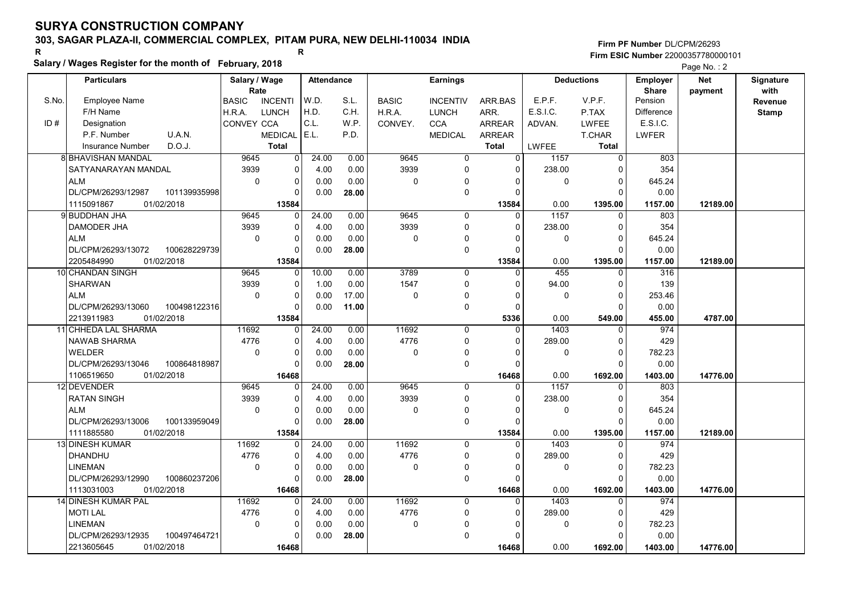# 303, SAGAR PLAZA-II, COMMERCIAL COMPLEX, PITAM PURA, NEW DELHI-110034 INDIA

#### Salary / Wages Register for the month of February, 2018

|       | Salary / wages Register for the month of February, 2018 |                        |                |                   |       |              |                 |                |              |                   |                   | Page No.: 2 |              |
|-------|---------------------------------------------------------|------------------------|----------------|-------------------|-------|--------------|-----------------|----------------|--------------|-------------------|-------------------|-------------|--------------|
|       | <b>Particulars</b>                                      | Salary / Wage          |                | <b>Attendance</b> |       |              | <b>Earnings</b> |                |              | <b>Deductions</b> | <b>Employer</b>   | <b>Net</b>  | Signature    |
|       |                                                         | Rate                   |                |                   |       |              |                 |                |              |                   | <b>Share</b>      | payment     | with         |
| S.No. | Employee Name                                           | <b>BASIC</b>           | <b>INCENTI</b> | W.D.              | S.L.  | <b>BASIC</b> | <b>INCENTIV</b> | ARR BAS        | E.P.F.       | V.P.F.            | Pension           |             | Revenue      |
|       | F/H Name                                                | H.R.A.<br><b>LUNCH</b> |                | H.D.              | C.H.  | H.R.A.       | <b>LUNCH</b>    | ARR.           | E.S.I.C.     | P.TAX             | <b>Difference</b> |             | <b>Stamp</b> |
| ID#   | Designation                                             | CONVEY CCA             |                | C.L.              | W.P.  | CONVEY.      | <b>CCA</b>      | <b>ARREAR</b>  | ADVAN.       | <b>LWFEE</b>      | E.S.I.C.          |             |              |
|       | U.A.N.<br>P.F. Number                                   |                        | <b>MEDICAL</b> | E.L.              | P.D.  |              | <b>MEDICAL</b>  | <b>ARREAR</b>  |              | T.CHAR            | <b>LWFER</b>      |             |              |
|       | D.O.J.<br>Insurance Number                              |                        | <b>Total</b>   |                   |       |              |                 | <b>Total</b>   | <b>LWFEE</b> | <b>Total</b>      |                   |             |              |
|       | <b>8 BHAVISHAN MANDAL</b>                               | 9645                   | $\overline{0}$ | 24.00             | 0.00  | 9645         | $\overline{0}$  | $\overline{0}$ | 1157         | $\overline{0}$    | 803               |             |              |
|       | SATYANARAYAN MANDAL                                     | 3939                   | 0              | 4.00              | 0.00  | 3939         | 0               | $\Omega$       | 238.00       | $\Omega$          | 354               |             |              |
|       | <b>ALM</b>                                              | $\mathbf 0$            | 0              | 0.00              | 0.00  | $\mathbf 0$  | 0               | 0              | 0            | $\mathbf 0$       | 645.24            |             |              |
|       | DL/CPM/26293/12987<br>101139935998                      |                        | 0              | 0.00              | 28.00 |              | 0               | $\Omega$       |              | $\Omega$          | 0.00              |             |              |
|       | 01/02/2018<br>1115091867                                |                        | 13584          |                   |       |              |                 | 13584          | 0.00         | 1395.00           | 1157.00           | 12189.00    |              |
|       | 9 BUDDHAN JHA                                           | 9645                   | $\Omega$       | 24.00             | 0.00  | 9645         | 0               | $\Omega$       | 1157         | $\Omega$          | 803               |             |              |
|       | DAMODER JHA                                             | 3939                   | 0              | 4.00              | 0.00  | 3939         | 0               | $\Omega$       | 238.00       | $\mathbf 0$       | 354               |             |              |
|       | <b>ALM</b>                                              | $\mathbf 0$            | $\Omega$       | 0.00              | 0.00  | $\mathbf 0$  | 0               | $\Omega$       | 0            | $\Omega$          | 645.24            |             |              |
|       | DL/CPM/26293/13072<br>100628229739                      |                        | 0              | 0.00              | 28.00 |              | 0               | $\Omega$       |              | $\Omega$          | 0.00              |             |              |
|       | 01/02/2018<br>2205484990                                |                        | 13584          |                   |       |              |                 | 13584          | 0.00         | 1395.00           | 1157.00           | 12189.00    |              |
|       | 10 CHANDAN SINGH                                        | 9645                   | 0              | 10.00             | 0.00  | 3789         | $\mathbf 0$     | $\Omega$       | 455          | 0                 | 316               |             |              |
|       | <b>SHARWAN</b>                                          | 3939                   | 0              | 1.00              | 0.00  | 1547         | 0               | $\Omega$       | 94.00        | $\mathbf 0$       | 139               |             |              |
|       | <b>ALM</b>                                              | $\Omega$               | 0              | 0.00              | 17.00 | $\Omega$     | 0               | $\Omega$       | $\mathbf{0}$ | $\Omega$          | 253.46            |             |              |
|       | DL/CPM/26293/13060<br>100498122316                      |                        | $\Omega$       | 0.00              | 11.00 |              | 0               | 0              |              | $\Omega$          | 0.00              |             |              |
|       | 2213911983<br>01/02/2018                                |                        | 13584          |                   |       |              |                 | 5336           | 0.00         | 549.00            | 455.00            | 4787.00     |              |
|       | 11 CHHEDA LAL SHARMA                                    | 11692                  | 0              | 24.00             | 0.00  | 11692        | $\Omega$        | $\Omega$       | 1403         | $\Omega$          | 974               |             |              |
|       | <b>NAWAB SHARMA</b>                                     | 4776                   | 0              | 4.00              | 0.00  | 4776         | 0               | $\Omega$       | 289.00       | $\Omega$          | 429               |             |              |
|       | WELDER                                                  | $\mathbf 0$            | 0              | 0.00              | 0.00  | 0            | 0               | $\mathbf{0}$   | $\mathbf 0$  | $\mathbf 0$       | 782.23            |             |              |
|       | DL/CPM/26293/13046<br>100864818987                      |                        | U              | 0.00              | 28.00 |              | 0               | $\Omega$       |              | $\Omega$          | 0.00              |             |              |
|       | 1106519650<br>01/02/2018                                |                        | 16468          |                   |       |              |                 | 16468          | 0.00         | 1692.00           | 1403.00           | 14776.00    |              |
|       | 12 DEVENDER                                             | 9645                   | 0              | 24.00             | 0.00  | 9645         | $\mathbf 0$     | $\Omega$       | 1157         | 0                 | 803               |             |              |
|       | <b>RATAN SINGH</b>                                      | 3939                   | 0              | 4.00              | 0.00  | 3939         | 0               | $\Omega$       | 238.00       | $\mathbf 0$       | 354               |             |              |
|       | <b>ALM</b>                                              | $\Omega$               | $\Omega$       | 0.00              | 0.00  | $\Omega$     | 0               | $\Omega$       | $\Omega$     | $\Omega$          | 645.24            |             |              |
|       | DL/CPM/26293/13006<br>100133959049                      |                        | $\Omega$       | 0.00              | 28.00 |              | 0               | $\Omega$       |              | $\Omega$          | 0.00              |             |              |
|       | 1111885580<br>01/02/2018                                |                        | 13584          |                   |       |              |                 | 13584          | 0.00         | 1395.00           | 1157.00           | 12189.00    |              |
|       | 13 DINESH KUMAR                                         | 11692                  | 0              | 24.00             | 0.00  | 11692        | $\Omega$        | $\Omega$       | 1403         | $\mathbf 0$       | 974               |             |              |
|       | <b>DHANDHU</b>                                          | 4776                   | 0              | 4.00              | 0.00  | 4776         | 0               | $\Omega$       | 289.00       | $\mathbf 0$       | 429               |             |              |
|       | <b>LINEMAN</b>                                          | $\Omega$               | 0              | 0.00              | 0.00  | $\mathbf 0$  | 0               | $\Omega$       | 0            | $\Omega$          | 782.23            |             |              |
|       | 100860237206<br>DL/CPM/26293/12990                      |                        | $\Omega$       | 0.00              | 28.00 |              | 0               | $\Omega$       |              | $\Omega$          | 0.00              |             |              |
|       | 1113031003<br>01/02/2018                                |                        | 16468          |                   |       |              |                 | 16468          | 0.00         | 1692.00           | 1403.00           | 14776.00    |              |
|       | 14 DINESH KUMAR PAL                                     | 11692                  | 0              | 24.00             | 0.00  | 11692        | $\mathbf 0$     | $\Omega$       | 1403         | $\Omega$          | 974               |             |              |
|       | <b>MOTI LAL</b>                                         | 4776                   | 0              | 4.00              | 0.00  | 4776         | 0               | $\Omega$       | 289.00       | $\Omega$          | 429               |             |              |
|       | <b>LINEMAN</b>                                          | $\mathbf 0$            | 0              | 0.00              | 0.00  | $\mathbf 0$  | 0               | $\Omega$       | 0            | $\mathbf 0$       | 782.23            |             |              |
|       | DL/CPM/26293/12935<br>100497464721                      |                        | 0              | 0.00              | 28.00 |              | 0               | $\Omega$       |              | $\Omega$          | 0.00              |             |              |
|       | 2213605645<br>01/02/2018                                |                        | 16468          |                   |       |              |                 | 16468          | 0.00         | 1692.00           | 1403.00           | 14776.00    |              |
|       |                                                         |                        |                |                   |       |              |                 |                |              |                   |                   |             |              |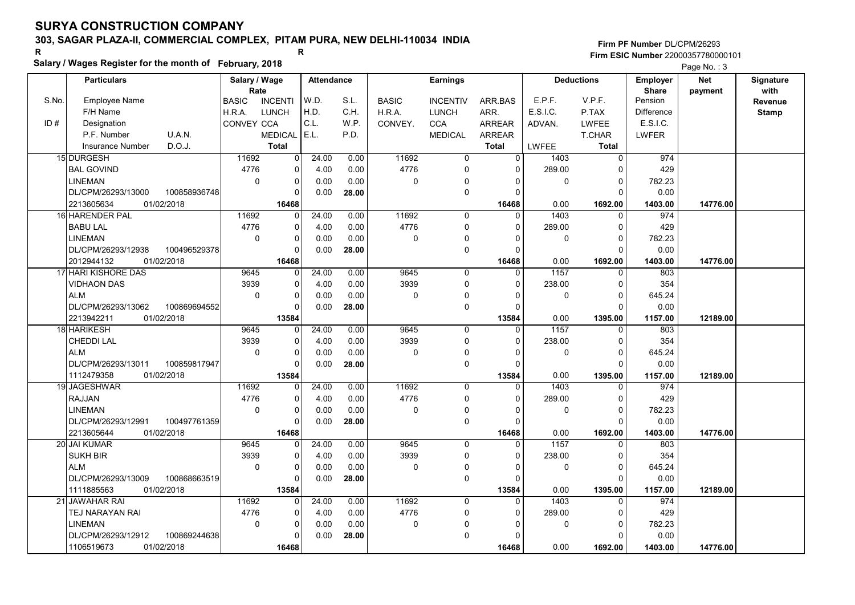# 303, SAGAR PLAZA-II, COMMERCIAL COMPLEX, PITAM PURA, NEW DELHI-110034 INDIA

#### Salary / Wages Register for the month of February, 2018

|       | Salary / wages Register for the month of February, 2018 |                                |                |                   |       |              |                 |                |              |                   |                   | Page No.: 3 |              |
|-------|---------------------------------------------------------|--------------------------------|----------------|-------------------|-------|--------------|-----------------|----------------|--------------|-------------------|-------------------|-------------|--------------|
|       | <b>Particulars</b>                                      | Salary / Wage                  |                | <b>Attendance</b> |       |              | <b>Earnings</b> |                |              | <b>Deductions</b> | <b>Employer</b>   | Net         | Signature    |
|       |                                                         | Rate                           |                |                   |       |              |                 |                |              |                   | <b>Share</b>      | payment     | with         |
| S.No. | <b>Employee Name</b>                                    | <b>BASIC</b><br><b>INCENTI</b> |                | W.D.              | S.L.  | <b>BASIC</b> | <b>INCENTIV</b> | ARR BAS        | E.P.F.       | V.P.F.            | Pension           |             | Revenue      |
|       | F/H Name                                                | LUNCH<br>H.R.A.                |                | H.D.              | C.H.  | H.R.A.       | <b>LUNCH</b>    | ARR.           | E.S.I.C.     | P.TAX             | <b>Difference</b> |             | <b>Stamp</b> |
| ID#   | Designation                                             | CONVEY CCA                     |                | C.L.              | W.P.  | CONVEY.      | <b>CCA</b>      | <b>ARREAR</b>  | ADVAN.       | <b>LWFEE</b>      | E.S.I.C.          |             |              |
|       | U.A.N.<br>P.F. Number                                   | <b>MEDICAL</b>                 |                | E.L.              | P.D.  |              | <b>MEDICAL</b>  | <b>ARREAR</b>  |              | T.CHAR            | <b>LWFER</b>      |             |              |
|       | D.O.J.<br><b>Insurance Number</b>                       | <b>Total</b>                   |                |                   |       |              |                 | <b>Total</b>   | <b>LWFEE</b> | <b>Total</b>      |                   |             |              |
|       | 15 DURGESH                                              | 11692                          | $\overline{0}$ | 24.00             | 0.00  | 11692        | $\overline{0}$  | $\overline{0}$ | 1403         | $\overline{0}$    | 974               |             |              |
|       | <b>BAL GOVIND</b>                                       | 4776                           | 0              | 4.00              | 0.00  | 4776         | $\mathbf 0$     | $\Omega$       | 289.00       | n                 | 429               |             |              |
|       | <b>LINEMAN</b>                                          | $\mathbf 0$                    | 0              | 0.00              | 0.00  | $\mathbf 0$  | $\Omega$        | $\Omega$       | 0            | 0                 | 782.23            |             |              |
|       | 100858936748<br>DL/CPM/26293/13000                      |                                | 0              | 0.00              | 28.00 |              | $\pmb{0}$       | $\Omega$       |              | $\Omega$          | 0.00              |             |              |
|       | 2213605634<br>01/02/2018                                |                                | 16468          |                   |       |              |                 | 16468          | 0.00         | 1692.00           | 1403.00           | 14776.00    |              |
|       | 16 HARENDER PAL                                         | 11692                          | $\Omega$       | 24.00             | 0.00  | 11692        | $\mathbf 0$     | $\Omega$       | 1403         | $\Omega$          | 974               |             |              |
|       | <b>BABU LAL</b>                                         | 4776                           | 0              | 4.00              | 0.00  | 4776         | $\mathbf 0$     | $\Omega$       | 289.00       | $\Omega$          | 429               |             |              |
|       | <b>LINEMAN</b>                                          | $\mathbf 0$                    | 0              | 0.00              | 0.00  | $\mathbf 0$  | $\mathbf 0$     |                | 0            | $\Omega$          | 782.23            |             |              |
|       | DL/CPM/26293/12938<br>100496529378                      |                                | $\Omega$       | 0.00              | 28.00 |              | $\mathbf 0$     | $\Omega$       |              |                   | 0.00              |             |              |
|       | 2012944132<br>01/02/2018                                |                                | 16468          |                   |       |              |                 | 16468          | 0.00         | 1692.00           | 1403.00           | 14776.00    |              |
|       | 17 HARI KISHORE DAS                                     | 9645                           | $\overline{0}$ | 24.00             | 0.00  | 9645         | $\mathbf 0$     | 0              | 1157         | $\Omega$          | 803               |             |              |
|       | <b>VIDHAON DAS</b>                                      | 3939                           | 0              | 4.00              | 0.00  | 3939         | $\mathbf 0$     | $\Omega$       | 238.00       | $\Omega$          | 354               |             |              |
|       | <b>ALM</b>                                              | $\Omega$                       | $\Omega$       | 0.00              | 0.00  | $\Omega$     | 0               | U              | $\Omega$     | $\Omega$          | 645.24            |             |              |
|       | DL/CPM/26293/13062<br>100869694552                      |                                | 0              | 0.00              | 28.00 |              | $\mathbf 0$     | $\Omega$       |              | $\Omega$          | 0.00              |             |              |
|       | 2213942211<br>01/02/2018                                |                                | 13584          |                   |       |              |                 | 13584          | 0.00         | 1395.00           | 1157.00           | 12189.00    |              |
|       | 18 HARIKESH                                             | 9645                           | 0              | 24.00             | 0.00  | 9645         | $\mathbf{0}$    | $\Omega$       | 1157         | $\Omega$          | 803               |             |              |
|       | CHEDDI LAL                                              | 3939                           | 0              | 4.00              | 0.00  | 3939         | $\mathbf 0$     | $\Omega$       | 238.00       | $\Omega$          | 354               |             |              |
|       | <b>ALM</b>                                              | $\Omega$                       | 0              | 0.00              | 0.00  | $\mathbf 0$  | $\mathbf 0$     | 0              | 0            | 0                 | 645.24            |             |              |
|       | DL/CPM/26293/13011<br>100859817947                      |                                | $\Omega$       | 0.00              | 28.00 |              | $\mathbf 0$     | $\Omega$       |              | $\cap$            | 0.00              |             |              |
|       | 1112479358<br>01/02/2018                                |                                | 13584          |                   |       |              |                 | 13584          | 0.00         | 1395.00           | 1157.00           | 12189.00    |              |
|       | 19 JAGESHWAR                                            | 11692                          | 0              | 24.00             | 0.00  | 11692        | $\mathbf 0$     | 0              | 1403         | $\Omega$          | 974               |             |              |
|       | <b>RAJJAN</b>                                           | 4776                           | 0              | 4.00              | 0.00  | 4776         | $\mathbf 0$     | $\Omega$       | 289.00       | $\Omega$          | 429               |             |              |
|       | LINEMAN                                                 | $\Omega$                       | 0              | 0.00              | 0.00  | $\Omega$     | $\mathbf 0$     |                | $\Omega$     | $\Omega$          | 782.23            |             |              |
|       | DL/CPM/26293/12991<br>100497761359                      |                                | 0              | 0.00              | 28.00 |              | $\mathbf 0$     | $\Omega$       |              |                   | 0.00              |             |              |
|       | 2213605644<br>01/02/2018                                |                                | 16468          |                   |       |              |                 | 16468          | 0.00         | 1692.00           | 1403.00           | 14776.00    |              |
|       | 20 JAI KUMAR                                            | 9645                           | 0              | 24.00             | 0.00  | 9645         | $\mathbf 0$     | $\Omega$       | 1157         | $\Omega$          | 803               |             |              |
|       | <b>SUKH BIR</b>                                         | 3939                           | 0              | 4.00              | 0.00  | 3939         | $\mathbf 0$     | $\Omega$       | 238.00       | $\Omega$          | 354               |             |              |
|       | <b>ALM</b>                                              | $\mathbf 0$                    | 0              | 0.00              | 0.00  | $\mathbf 0$  | 0               | 0              | 0            | $\Omega$          | 645.24            |             |              |
|       | DL/CPM/26293/13009<br>100868663519                      |                                | $\Omega$       | 0.00              | 28.00 |              | $\mathbf 0$     | $\Omega$       |              | $\Omega$          | 0.00              |             |              |
|       | 1111885563<br>01/02/2018                                |                                | 13584          |                   |       |              |                 | 13584          | 0.00         | 1395.00           | 1157.00           | 12189.00    |              |
|       | 21 JAWAHAR RAI                                          | 11692                          | 0              | 24.00             | 0.00  | 11692        | $\mathbf 0$     | 0              | 1403         | $\Omega$          | 974               |             |              |
|       | TEJ NARAYAN RAI                                         | 4776                           | 0              | 4.00              | 0.00  | 4776         | 0               | $\Omega$       | 289.00       | 0                 | 429               |             |              |
|       | LINEMAN                                                 | $\mathbf 0$                    | 0              | 0.00              | 0.00  | 0            | $\mathbf 0$     | 0              | 0            | $\Omega$          | 782.23            |             |              |
|       | DL/CPM/26293/12912<br>100869244638                      |                                | 0              | 0.00              | 28.00 |              | $\Omega$        |                |              |                   | 0.00              |             |              |
|       | 1106519673<br>01/02/2018                                |                                | 16468          |                   |       |              |                 | 16468          | 0.00         | 1692.00           | 1403.00           | 14776.00    |              |
|       |                                                         |                                |                |                   |       |              |                 |                |              |                   |                   |             |              |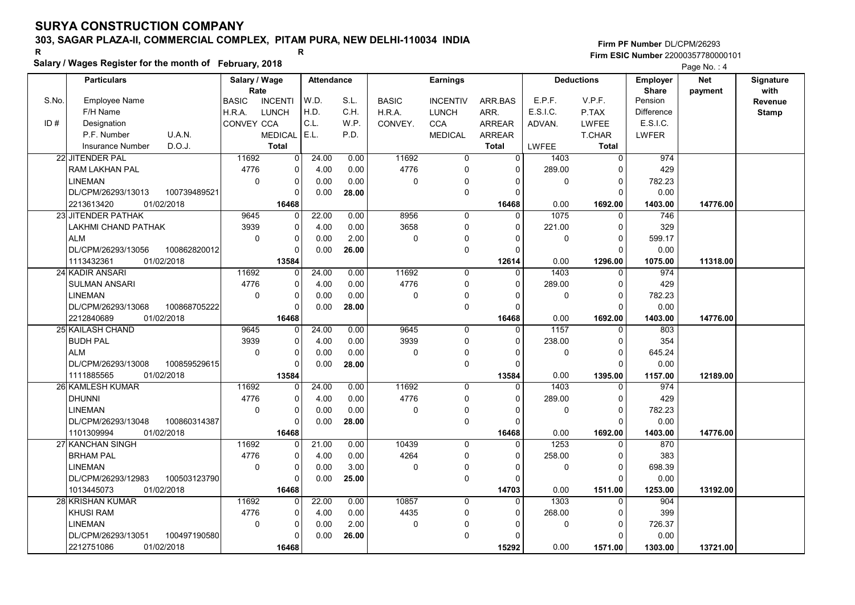# 303, SAGAR PLAZA-II, COMMERCIAL COMPLEX, PITAM PURA, NEW DELHI-110034 INDIA

### Salary / Wages Register for the month of February, 2018

|       | Salary / wages Register for the month of February, 2018 |               |                |                   |       |              |                 |                |              | Page No.: 4       |                 |            |              |
|-------|---------------------------------------------------------|---------------|----------------|-------------------|-------|--------------|-----------------|----------------|--------------|-------------------|-----------------|------------|--------------|
|       | <b>Particulars</b>                                      | Salary / Wage |                | <b>Attendance</b> |       |              | <b>Earnings</b> |                |              | <b>Deductions</b> | <b>Employer</b> | <b>Net</b> | Signature    |
|       |                                                         | Rate          |                |                   |       |              |                 |                |              |                   | <b>Share</b>    | payment    | with         |
| S.No. | Employee Name                                           | <b>BASIC</b>  | <b>INCENTI</b> | W.D.              | S.L.  | <b>BASIC</b> | <b>INCENTIV</b> | ARR BAS        | E.P.F.       | V.P.F.            | Pension         |            | Revenue      |
|       | F/H Name                                                | H.R.A.        | <b>LUNCH</b>   | H.D.              | C.H.  | H.R.A.       | <b>LUNCH</b>    | ARR.           | E.S.I.C.     | P.TAX             | Difference      |            | <b>Stamp</b> |
| ID#   | Designation                                             | CONVEY CCA    |                | C.L.              | W.P.  | CONVEY.      | <b>CCA</b>      | <b>ARREAR</b>  | ADVAN.       | <b>LWFEE</b>      | E.S.I.C.        |            |              |
|       | U.A.N.<br>P.F. Number                                   |               | <b>MEDICAL</b> | E.L.              | P.D.  |              | <b>MEDICAL</b>  | <b>ARREAR</b>  |              | <b>T.CHAR</b>     | <b>LWFER</b>    |            |              |
|       | D.O.J.<br><b>Insurance Number</b>                       |               | <b>Total</b>   |                   |       |              |                 | <b>Total</b>   | <b>LWFEE</b> | <b>Total</b>      |                 |            |              |
|       | 22 JITENDER PAL                                         | 11692         | $\overline{0}$ | 24.00             | 0.00  | 11692        | $\overline{0}$  | $\overline{0}$ | 1403         | $\overline{0}$    | 974             |            |              |
|       | RAM LAKHAN PAL                                          | 4776          | 0              | 4.00              | 0.00  | 4776         | $\mathbf 0$     | 0              | 289.00       | $\Omega$          | 429             |            |              |
|       | <b>LINEMAN</b>                                          | $\mathbf 0$   | 0              | 0.00              | 0.00  | 0            | $\Omega$        | $\Omega$       | 0            | 0                 | 782.23          |            |              |
|       | DL/CPM/26293/13013<br>100739489521                      |               | $\Omega$       | 0.00              | 28.00 |              | $\Omega$        | $\Omega$       |              | $\Omega$          | 0.00            |            |              |
|       | 2213613420<br>01/02/2018                                |               | 16468          |                   |       |              |                 | 16468          | 0.00         | 1692.00           | 1403.00         | 14776.00   |              |
|       | 23 JITENDER PATHAK                                      | 9645          | $\Omega$       | 22.00             | 0.00  | 8956         | 0               | $\Omega$       | 1075         | $\Omega$          | 746             |            |              |
|       | LAKHMI CHAND PATHAK                                     | 3939          | 0              | 4.00              | 0.00  | 3658         | $\Omega$        | $\Omega$       | 221.00       | $\Omega$          | 329             |            |              |
|       | <b>ALM</b>                                              | $\mathbf 0$   | 0              | 0.00              | 2.00  | 0            | 0               | $\Omega$       | 0            | $\Omega$          | 599.17          |            |              |
|       | DL/CPM/26293/13056<br>100862820012                      |               | $\Omega$       | 0.00              | 26.00 |              | $\mathbf 0$     | $\Omega$       |              | $\Omega$          | 0.00            |            |              |
|       | 1113432361<br>01/02/2018                                |               | 13584          |                   |       |              |                 | 12614          | 0.00         | 1296.00           | 1075.00         | 11318.00   |              |
|       | 24 KADIR ANSARI                                         | 11692         | $\Omega$       | 24.00             | 0.00  | 11692        | $\mathbf 0$     | $\mathbf{0}$   | 1403         | $\Omega$          | 974             |            |              |
|       | <b>SULMAN ANSARI</b>                                    | 4776          | $\Omega$       | 4.00              | 0.00  | 4776         | $\mathbf 0$     | $\Omega$       | 289.00       | $\Omega$          | 429             |            |              |
|       | <b>LINEMAN</b>                                          | $\mathbf 0$   | 0              | 0.00              | 0.00  | 0            | 0               | $\Omega$       | 0            | $\Omega$          | 782.23          |            |              |
|       | DL/CPM/26293/13068<br>100868705222                      |               | $\Omega$       | 0.00              | 28.00 |              | $\mathbf 0$     | $\Omega$       |              | $\Omega$          | 0.00            |            |              |
|       | 2212840689<br>01/02/2018                                |               | 16468          |                   |       |              |                 | 16468          | 0.00         | 1692.00           | 1403.00         | 14776.00   |              |
|       | 25 KAILASH CHAND                                        | 9645          | 0              | 24.00             | 0.00  | 9645         | $\Omega$        | $\Omega$       | 1157         | $\Omega$          | 803             |            |              |
|       | <b>BUDH PAL</b>                                         | 3939          | $\Omega$       | 4.00              | 0.00  | 3939         | $\mathbf 0$     | $\Omega$       | 238.00       | $\Omega$          | 354             |            |              |
|       | <b>ALM</b>                                              | $\mathbf 0$   | 0              | 0.00              | 0.00  | $\mathbf 0$  | $\Omega$        | $\Omega$       | 0            | $\overline{0}$    | 645.24          |            |              |
|       | DL/CPM/26293/13008<br>100859529615                      |               | U              | 0.00              | 28.00 |              | $\mathbf 0$     | 0              |              | $\Omega$          | 0.00            |            |              |
|       | 1111885565<br>01/02/2018                                |               | 13584          |                   |       |              |                 | 13584          | 0.00         | 1395.00           | 1157.00         | 12189.00   |              |
|       | <b>26 KAMLESH KUMAR</b>                                 | 11692         | $\overline{0}$ | 24.00             | 0.00  | 11692        | $\mathbf 0$     | $\mathbf 0$    | 1403         | $\mathbf 0$       | 974             |            |              |
|       | <b>DHUNNI</b>                                           | 4776          | 0              | 4.00              | 0.00  | 4776         | $\mathbf 0$     | $\Omega$       | 289.00       | $\Omega$          | 429             |            |              |
|       | <b>LINEMAN</b>                                          | $\Omega$      | $\Omega$       | 0.00              | 0.00  | 0            | $\mathbf 0$     | $\Omega$       | 0            | $\Omega$          | 782.23          |            |              |
|       | DL/CPM/26293/13048<br>100860314387                      |               | 0              | 0.00              | 28.00 |              | $\mathbf 0$     | $\Omega$       |              | $\Omega$          | 0.00            |            |              |
|       | 1101309994<br>01/02/2018                                |               | 16468          |                   |       |              |                 | 16468          | 0.00         | 1692.00           | 1403.00         | 14776.00   |              |
|       | 27 KANCHAN SINGH                                        | 11692         | U              | 21.00             | 0.00  | 10439        | $\Omega$        | $\Omega$       | 1253         | $\Omega$          | 870             |            |              |
|       | <b>BRHAM PAL</b>                                        | 4776          | $\Omega$       | 4.00              | 0.00  | 4264         | $\mathbf 0$     | $\Omega$       | 258.00       | $\Omega$          | 383             |            |              |
|       | <b>LINEMAN</b>                                          | $\mathbf 0$   | $\Omega$       | 0.00              | 3.00  | 0            | $\mathbf 0$     | $\Omega$       | 0            | $\Omega$          | 698.39          |            |              |
|       | DL/CPM/26293/12983<br>100503123790                      |               | $\Omega$       | 0.00              | 25.00 |              | $\mathbf 0$     | $\Omega$       |              | $\Omega$          | 0.00            |            |              |
|       | 1013445073<br>01/02/2018                                |               | 16468          |                   |       |              |                 | 14703          | 0.00         | 1511.00           | 1253.00         | 13192.00   |              |
|       | 28 KRISHAN KUMAR                                        | 11692         | U              | 22.00             | 0.00  | 10857        | $\Omega$        | $\Omega$       | 1303         | $\Omega$          | 904             |            |              |
|       | <b>KHUSI RAM</b>                                        | 4776          | 0              | 4.00              | 0.00  | 4435         | $\mathbf 0$     | $\Omega$       | 268.00       | 0                 | 399             |            |              |
|       | <b>LINEMAN</b>                                          | $\mathbf 0$   | 0              | 0.00              | 2.00  | 0            | $\Omega$        | $\Omega$       | 0            | $\Omega$          | 726.37          |            |              |
|       | DL/CPM/26293/13051<br>100497190580                      |               | U              | 0.00              | 26.00 |              | $\Omega$        | $\Omega$       |              | $\Omega$          | 0.00            |            |              |
|       | 2212751086<br>01/02/2018                                |               | 16468          |                   |       |              |                 | 15292          | 0.00         | 1571.00           | 1303.00         | 13721.00   |              |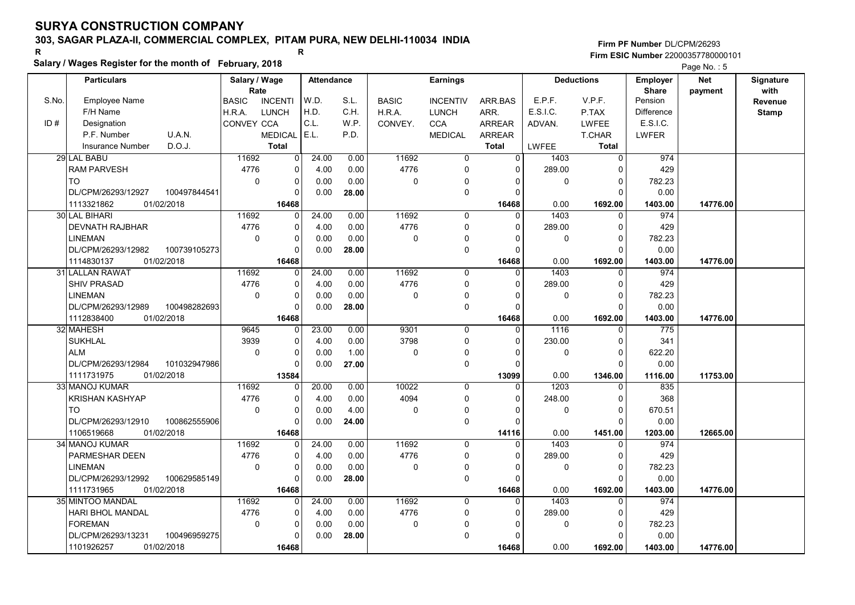# 303, SAGAR PLAZA-II, COMMERCIAL COMPLEX, PITAM PURA, NEW DELHI-110034 INDIA

### Salary / Wages Register for the month of February, 2018

Firm PF Number DL/CPM/26293 Firm ESIC Number <sup>22000357780000101</sup> R R

Page No.: 5

|       | <b>Particulars</b>                 | Salary / Wage        |                | <b>Attendance</b> |       |              | <b>Earnings</b> |               |              | <b>Deductions</b> | Employer                | <b>Net</b> | Signature       |
|-------|------------------------------------|----------------------|----------------|-------------------|-------|--------------|-----------------|---------------|--------------|-------------------|-------------------------|------------|-----------------|
| S.No. | <b>Employee Name</b>               | Rate<br><b>BASIC</b> | <b>INCENTI</b> | W.D.              | S.L.  | <b>BASIC</b> | <b>INCENTIV</b> | ARR.BAS       | E.P.F.       | V.P.F.            | <b>Share</b><br>Pension | payment    | with<br>Revenue |
|       | F/H Name                           | H.R.A.               | <b>LUNCH</b>   | H.D.              | C.H.  | H.R.A.       | <b>LUNCH</b>    | ARR.          | E.S.I.C.     | P.TAX             | Difference              |            | <b>Stamp</b>    |
| ID#   | Designation                        | CONVEY CCA           |                | C.L.              | W.P.  | CONVEY.      | <b>CCA</b>      | ARREAR        | ADVAN.       | LWFEE             | E.S.I.C.                |            |                 |
|       | P.F. Number<br>U.A.N.              |                      | <b>MEDICAL</b> | E.L.              | P.D.  |              | <b>MEDICAL</b>  | <b>ARREAR</b> |              | <b>T.CHAR</b>     | <b>LWFER</b>            |            |                 |
|       | D.O.J.<br>Insurance Number         |                      | <b>Total</b>   |                   |       |              |                 | <b>Total</b>  | <b>LWFEE</b> | <b>Total</b>      |                         |            |                 |
|       | 29 LAL BABU                        | 11692                | 0              | 24.00             | 0.00  | 11692        | $\Omega$        | 0             | 1403         | $\Omega$          | 974                     |            |                 |
|       | <b>RAM PARVESH</b>                 | 4776                 | 0              | 4.00              | 0.00  | 4776         | 0               | $\Omega$      | 289.00       | 0                 | 429                     |            |                 |
|       | <b>TO</b>                          | $\mathbf 0$          | 0              | 0.00              | 0.00  | 0            | $\mathbf 0$     | 0             | 0            | $\Omega$          | 782.23                  |            |                 |
|       | 100497844541<br>DL/CPM/26293/12927 |                      | $\Omega$       | 0.00              | 28.00 |              | $\pmb{0}$       | $\Omega$      |              | $\Omega$          | 0.00                    |            |                 |
|       | 1113321862<br>01/02/2018           |                      | 16468          |                   |       |              |                 | 16468         | 0.00         | 1692.00           | 1403.00                 | 14776.00   |                 |
|       | 30 LAL BIHARI                      | 11692                | 0              | 24.00             | 0.00  | 11692        | $\mathbf 0$     | $\Omega$      | 1403         | $\Omega$          | 974                     |            |                 |
|       | <b>DEVNATH RAJBHAR</b>             | 4776                 | 0              | 4.00              | 0.00  | 4776         | $\mathbf 0$     | $\Omega$      | 289.00       | 0                 | 429                     |            |                 |
|       | LINEMAN                            | $\mathbf 0$          | 0              | 0.00              | 0.00  | $\mathbf 0$  | $\Omega$        |               | 0            | $\Omega$          | 782.23                  |            |                 |
|       | DL/CPM/26293/12982<br>100739105273 |                      | 0              | 0.00              | 28.00 |              | $\mathbf 0$     | $\Omega$      |              | $\Omega$          | 0.00                    |            |                 |
|       | 01/02/2018<br>1114830137           |                      | 16468          |                   |       |              |                 | 16468         | 0.00         | 1692.00           | 1403.00                 | 14776.00   |                 |
|       | 31 LALLAN RAWAT                    | 11692                | 0              | 24.00             | 0.00  | 11692        | $\mathbf 0$     | $\Omega$      | 1403         | $\Omega$          | 974                     |            |                 |
|       | <b>SHIV PRASAD</b>                 | 4776                 | 0              | 4.00              | 0.00  | 4776         | 0               | $\Omega$      | 289.00       | $\Omega$          | 429                     |            |                 |
|       | <b>LINEMAN</b>                     | $\mathbf 0$          | 0              | 0.00              | 0.00  | 0            | 0               | $\Omega$      | 0            | $\Omega$          | 782.23                  |            |                 |
|       | DL/CPM/26293/12989<br>100498282693 |                      | 0              | 0.00              | 28.00 |              | $\mathbf 0$     | $\Omega$      |              | $\Omega$          | 0.00                    |            |                 |
|       | 1112838400<br>01/02/2018           |                      | 16468          |                   |       |              |                 | 16468         | 0.00         | 1692.00           | 1403.00                 | 14776.00   |                 |
|       | 32 MAHESH                          | 9645                 | 0              | 23.00             | 0.00  | 9301         | $\mathbf 0$     | $\Omega$      | 1116         | $\Omega$          | 775                     |            |                 |
|       | <b>SUKHLAL</b>                     | 3939                 | 0              | 4.00              | 0.00  | 3798         | $\mathbf 0$     | $\Omega$      | 230.00       | $\Omega$          | 341                     |            |                 |
|       | <b>ALM</b>                         | $\Omega$             | 0              | 0.00              | 1.00  | $\mathbf 0$  | 0               | $\Omega$      | 0            | $\Omega$          | 622.20                  |            |                 |
|       | DL/CPM/26293/12984<br>101032947986 |                      | 0              | 0.00              | 27.00 |              | $\mathbf 0$     | 0             |              | $\Omega$          | 0.00                    |            |                 |
|       | 1111731975<br>01/02/2018           |                      | 13584          |                   |       |              |                 | 13099         | 0.00         | 1346.00           | 1116.00                 | 11753.00   |                 |
|       | 33 MANOJ KUMAR                     | 11692                | 0              | 20.00             | 0.00  | 10022        | $\mathbf 0$     | $\Omega$      | 1203         | $\Omega$          | 835                     |            |                 |
|       | <b>KRISHAN KASHYAP</b>             | 4776                 | 0              | 4.00              | 0.00  | 4094         | $\Omega$        | $\Omega$      | 248.00       | $\Omega$          | 368                     |            |                 |
|       | <b>TO</b>                          | $\mathbf 0$          | 0              | 0.00              | 4.00  | $\mathbf 0$  | $\Omega$        | $\Omega$      | 0            | $\Omega$          | 670.51                  |            |                 |
|       | DL/CPM/26293/12910<br>100862555906 |                      | 0              | 0.00              | 24.00 |              | $\mathbf 0$     | $\Omega$      |              | $\Omega$          | 0.00                    |            |                 |
|       | 1106519668<br>01/02/2018           |                      | 16468          |                   |       |              |                 | 14116         | 0.00         | 1451.00           | 1203.00                 | 12665.00   |                 |
|       | 34 MANOJ KUMAR                     | 11692                | $\Omega$       | 24.00             | 0.00  | 11692        | $\mathbf 0$     | $\Omega$      | 1403         | $\Omega$          | 974                     |            |                 |
|       | PARMESHAR DEEN                     | 4776                 | 0              | 4.00              | 0.00  | 4776         | 0               | $\Omega$      | 289.00       | 0                 | 429                     |            |                 |
|       | LINEMAN                            | $\Omega$             | 0              | 0.00              | 0.00  | $\pmb{0}$    | $\mathbf 0$     | 0             | 0            | $\Omega$          | 782.23                  |            |                 |
|       | DL/CPM/26293/12992<br>100629585149 |                      | $\Omega$       | 0.00              | 28.00 |              | $\mathbf 0$     | $\Omega$      |              | $\cap$            | 0.00                    |            |                 |
|       | 1111731965<br>01/02/2018           |                      | 16468          |                   |       |              |                 | 16468         | 0.00         | 1692.00           | 1403.00                 | 14776.00   |                 |
|       | 35 MINTOO MANDAL                   | 11692                | 0              | 24.00             | 0.00  | 11692        | 0               | $\Omega$      | 1403         | $\Omega$          | 974                     |            |                 |
|       | HARI BHOL MANDAL                   | 4776                 | 0              | 4.00              | 0.00  | 4776         | 0               | 0             | 289.00       | 0                 | 429                     |            |                 |
|       | <b>FOREMAN</b>                     | $\mathbf 0$          | 0              | 0.00              | 0.00  | 0            | 0               | O             | 0            | $\Omega$          | 782.23                  |            |                 |
|       | 100496959275<br>DL/CPM/26293/13231 |                      | $\Omega$       | 0.00              | 28.00 |              | 0               | O             |              | n                 | 0.00                    |            |                 |
|       | 1101926257<br>01/02/2018           |                      | 16468          |                   |       |              |                 | 16468         | 0.00         | 1692.00           | 1403.00                 | 14776.00   |                 |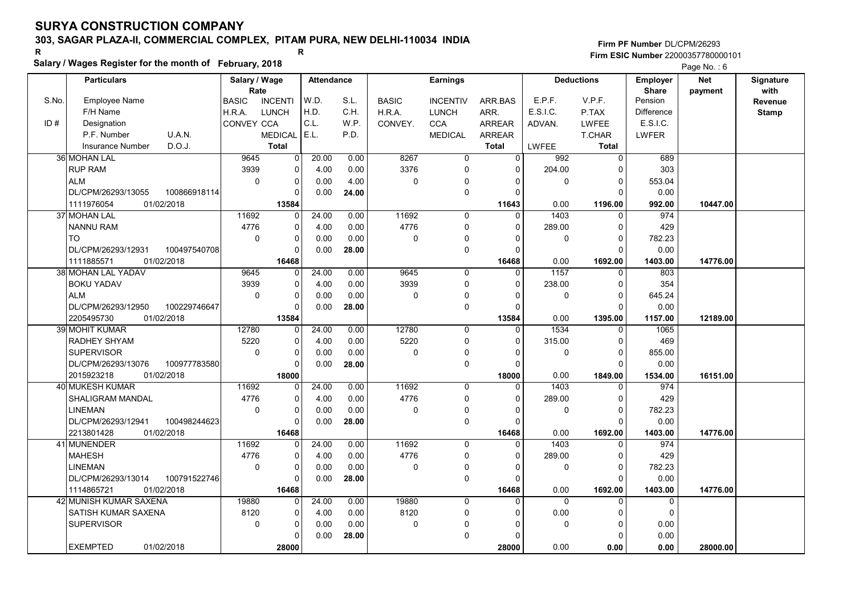# 303, SAGAR PLAZA-II, COMMERCIAL COMPLEX, PITAM PURA, NEW DELHI-110034 INDIA

### Salary / Wages Register for the month of February, 2018

|       | Salary / wages Register for the month of February, 2018 |               |                |                   |       |              |                 |                | Page No.: 6 |                   |                 |            |              |
|-------|---------------------------------------------------------|---------------|----------------|-------------------|-------|--------------|-----------------|----------------|-------------|-------------------|-----------------|------------|--------------|
|       | <b>Particulars</b>                                      | Salary / Wage |                | <b>Attendance</b> |       |              | <b>Earnings</b> |                |             | <b>Deductions</b> | <b>Employer</b> | <b>Net</b> | Signature    |
|       |                                                         | Rate          |                |                   |       |              |                 |                |             |                   | <b>Share</b>    | payment    | with         |
| S.No. | Employee Name                                           | <b>BASIC</b>  | <b>INCENTI</b> | W.D.              | S.L.  | <b>BASIC</b> | <b>INCENTIV</b> | ARR BAS        | E.P.F.      | V.P.F.            | Pension         |            | Revenue      |
|       | F/H Name                                                | H.R.A.        | <b>LUNCH</b>   | H.D.              | C.H.  | H.R.A.       | <b>LUNCH</b>    | ARR.           | E.S.I.C.    | P.TAX             | Difference      |            | <b>Stamp</b> |
| ID#   | Designation                                             | CONVEY CCA    |                | C.L.              | W.P.  | CONVEY.      | <b>CCA</b>      | <b>ARREAR</b>  | ADVAN.      | <b>LWFEE</b>      | E.S.I.C.        |            |              |
|       | U.A.N.<br>P.F. Number                                   |               | <b>MEDICAL</b> | E.L.              | P.D.  |              | <b>MEDICAL</b>  | <b>ARREAR</b>  |             | <b>T.CHAR</b>     | <b>LWFER</b>    |            |              |
|       | D.O.J.<br><b>Insurance Number</b>                       |               | <b>Total</b>   |                   |       |              |                 | <b>Total</b>   | LWFEE       | <b>Total</b>      |                 |            |              |
|       | 36 MOHAN LAL                                            | 9645          | $\overline{0}$ | 20.00             | 0.00  | 8267         | $\overline{0}$  | $\overline{0}$ | 992         | $\overline{0}$    | 689             |            |              |
|       | <b>RUP RAM</b>                                          | 3939          | 0              | 4.00              | 0.00  | 3376         | $\mathbf 0$     | $\Omega$       | 204.00      | $\Omega$          | 303             |            |              |
|       | <b>ALM</b>                                              | $\mathbf 0$   | 0              | 0.00              | 4.00  | 0            | $\Omega$        | $\Omega$       | 0           | $\Omega$          | 553.04          |            |              |
|       | DL/CPM/26293/13055<br>100866918114                      |               | $\Omega$       | 0.00              | 24.00 |              | $\Omega$        | $\Omega$       |             | $\Omega$          | 0.00            |            |              |
|       | 1111976054<br>01/02/2018                                |               | 13584          |                   |       |              |                 | 11643          | 0.00        | 1196.00           | 992.00          | 10447.00   |              |
|       | <b>37 MOHAN LAL</b>                                     | 11692         | $\Omega$       | 24.00             | 0.00  | 11692        | 0               | $\Omega$       | 1403        | $\Omega$          | 974             |            |              |
|       | <b>NANNU RAM</b>                                        | 4776          | 0              | 4.00              | 0.00  | 4776         | $\Omega$        | $\Omega$       | 289.00      | $\Omega$          | 429             |            |              |
|       | <b>TO</b>                                               | $\mathbf 0$   | 0              | 0.00              | 0.00  | 0            | 0               | $\Omega$       | 0           | $\Omega$          | 782.23          |            |              |
|       | DL/CPM/26293/12931<br>100497540708                      |               | $\Omega$       | 0.00              | 28.00 |              | $\mathbf 0$     | $\Omega$       |             | $\Omega$          | 0.00            |            |              |
|       | 1111885571<br>01/02/2018                                |               | 16468          |                   |       |              |                 | 16468          | 0.00        | 1692.00           | 1403.00         | 14776.00   |              |
|       | <b>38 MOHAN LAL YADAV</b>                               | 9645          | $\Omega$       | 24.00             | 0.00  | 9645         | $\mathbf 0$     | $\mathbf{0}$   | 1157        | $\Omega$          | 803             |            |              |
|       | <b>BOKU YADAV</b>                                       | 3939          | $\Omega$       | 4.00              | 0.00  | 3939         | $\mathbf 0$     | $\Omega$       | 238.00      | $\Omega$          | 354             |            |              |
|       | <b>ALM</b>                                              | $\mathbf 0$   | 0              | 0.00              | 0.00  | 0            | 0               | $\Omega$       | 0           | $\Omega$          | 645.24          |            |              |
|       | DL/CPM/26293/12950<br>100229746647                      |               | $\Omega$       | 0.00              | 28.00 |              | $\mathbf 0$     | $\Omega$       |             | $\Omega$          | 0.00            |            |              |
|       | 01/02/2018<br>2205495730                                |               | 13584          |                   |       |              |                 | 13584          | 0.00        | 1395.00           | 1157.00         | 12189.00   |              |
|       | <b>39 MOHIT KUMAR</b>                                   | 12780         | 0              | 24.00             | 0.00  | 12780        | $\mathbf 0$     | $\Omega$       | 1534        | $\Omega$          | 1065            |            |              |
|       | RADHEY SHYAM                                            | 5220          | $\Omega$       | 4.00              | 0.00  | 5220         | $\mathbf 0$     | 0              | 315.00      | $\Omega$          | 469             |            |              |
|       | <b>SUPERVISOR</b>                                       | $\mathbf 0$   | 0              | 0.00              | 0.00  | $\mathbf 0$  | $\Omega$        | $\Omega$       | 0           | $\mathbf 0$       | 855.00          |            |              |
|       | DL/CPM/26293/13076<br>100977783580                      |               | $\Omega$       | 0.00              | 28.00 |              | $\mathbf 0$     | 0              |             | $\Omega$          | 0.00            |            |              |
|       | 2015923218<br>01/02/2018                                |               | 18000          |                   |       |              |                 | 18000          | 0.00        | 1849.00           | 1534.00         | 16151.00   |              |
|       | 40 MUKESH KUMAR                                         | 11692         | $\overline{0}$ | 24.00             | 0.00  | 11692        | $\mathbf 0$     | $\mathbf 0$    | 1403        | $\mathbf 0$       | 974             |            |              |
|       | <b>SHALIGRAM MANDAL</b>                                 | 4776          | 0              | 4.00              | 0.00  | 4776         | $\mathbf 0$     | $\Omega$       | 289.00      | $\Omega$          | 429             |            |              |
|       | <b>LINEMAN</b>                                          | $\Omega$      | $\Omega$       | 0.00              | 0.00  | 0            | $\mathbf 0$     | $\Omega$       | $\Omega$    | $\Omega$          | 782.23          |            |              |
|       | DL/CPM/26293/12941<br>100498244623                      |               | 0              | 0.00              | 28.00 |              | $\mathbf 0$     | $\Omega$       |             | $\Omega$          | 0.00            |            |              |
|       | 2213801428<br>01/02/2018                                |               | 16468          |                   |       |              |                 | 16468          | 0.00        | 1692.00           | 1403.00         | 14776.00   |              |
|       | 41 MUNENDER                                             | 11692         | U              | 24.00             | 0.00  | 11692        | $\Omega$        | $\Omega$       | 1403        | $\Omega$          | 974             |            |              |
|       | <b>MAHESH</b>                                           | 4776          | $\Omega$       | 4.00              | 0.00  | 4776         | $\mathbf 0$     | $\Omega$       | 289.00      | $\Omega$          | 429             |            |              |
|       | <b>LINEMAN</b>                                          | $\mathbf 0$   | $\Omega$       | 0.00              | 0.00  | 0            | $\mathbf 0$     | $\Omega$       | 0           | $\Omega$          | 782.23          |            |              |
|       | DL/CPM/26293/13014<br>100791522746                      |               | $\Omega$       | 0.00              | 28.00 |              | $\mathbf 0$     | $\Omega$       |             | $\Omega$          | 0.00            |            |              |
|       | 1114865721<br>01/02/2018                                |               | 16468          |                   |       |              |                 | 16468          | 0.00        | 1692.00           | 1403.00         | 14776.00   |              |
|       | 42 MUNISH KUMAR SAXENA                                  | 19880         | U              | 24.00             | 0.00  | 19880        | $\Omega$        | $\Omega$       | $\Omega$    | $\Omega$          | $\Omega$        |            |              |
|       | SATISH KUMAR SAXENA                                     | 8120          | 0              | 4.00              | 0.00  | 8120         | $\mathbf 0$     | 0              | 0.00        | 0                 | $\mathbf 0$     |            |              |
|       | <b>SUPERVISOR</b>                                       | $\mathbf 0$   | 0              | 0.00              | 0.00  | 0            | $\Omega$        | $\Omega$       | 0           | $\Omega$          | 0.00            |            |              |
|       |                                                         |               | U              | 0.00              | 28.00 |              | $\Omega$        | $\Omega$       |             | $\Omega$          | 0.00            |            |              |
|       | <b>EXEMPTED</b><br>01/02/2018                           |               | 28000          |                   |       |              |                 | 28000          | 0.00        | 0.00              | 0.00            | 28000.00   |              |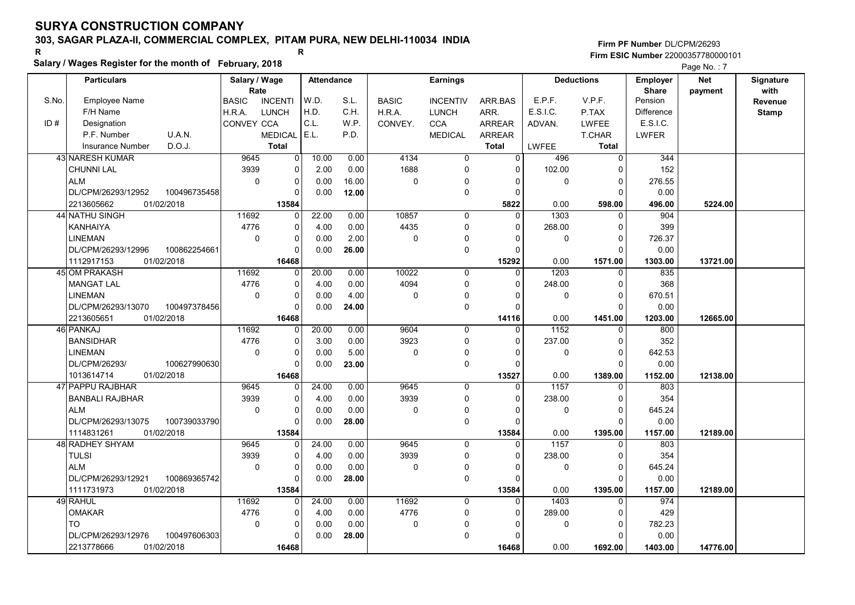# 303, SAGAR PLAZA-II, COMMERCIAL COMPLEX, PITAM PURA, NEW DELHI-110034 INDIA

### Salary / Wages Register for the month of February, 2018

|       | Salary / wages Register for the month of February, 2018 |                                |                |                   |              |                 |                |          |                   |                   | Page No.: 7 |              |
|-------|---------------------------------------------------------|--------------------------------|----------------|-------------------|--------------|-----------------|----------------|----------|-------------------|-------------------|-------------|--------------|
|       | <b>Particulars</b>                                      | Salary / Wage                  |                | <b>Attendance</b> |              | <b>Earnings</b> |                |          | <b>Deductions</b> | <b>Employer</b>   | Net         | Signature    |
|       |                                                         | Rate                           |                |                   |              |                 |                |          |                   | <b>Share</b>      | payment     | with         |
| S.No. | <b>Employee Name</b>                                    | <b>BASIC</b><br><b>INCENTI</b> | W.D.           | S.L.              | <b>BASIC</b> | <b>INCENTIV</b> | ARR BAS        | E.P.F.   | V.P.F.            | Pension           |             | Revenue      |
|       | F/H Name                                                | <b>LUNCH</b><br>H.R.A.         | H.D.           | C.H.              | H.R.A.       | <b>LUNCH</b>    | ARR.           | E.S.I.C. | P.TAX             | <b>Difference</b> |             | <b>Stamp</b> |
| ID#   | Designation                                             | CONVEY CCA                     | C.L.           | W.P.              | CONVEY.      | <b>CCA</b>      | <b>ARREAR</b>  | ADVAN.   | <b>LWFEE</b>      | E.S.I.C.          |             |              |
|       | U.A.N.<br>P.F. Number                                   | <b>MEDICAL</b>                 | E.L.           | P.D.              |              | <b>MEDICAL</b>  | <b>ARREAR</b>  |          | <b>T.CHAR</b>     | <b>LWFER</b>      |             |              |
|       | D.O.J.<br><b>Insurance Number</b>                       | <b>Total</b>                   |                |                   |              |                 | <b>Total</b>   | LWFEE    | <b>Total</b>      |                   |             |              |
|       | <b>43 NARESH KUMAR</b>                                  | 9645                           | 0              | 10.00<br>0.00     | 4134         | $\overline{0}$  | $\overline{0}$ | 496      | $\overline{0}$    | 344               |             |              |
|       | <b>CHUNNI LAL</b>                                       | 3939                           | 0              | 0.00<br>2.00      | 1688         | $\mathbf 0$     | $\Omega$       | 102.00   | $\Omega$          | 152               |             |              |
|       | <b>ALM</b>                                              | $\mathbf 0$                    | 0              | 0.00<br>16.00     | 0            | $\mathbf 0$     | 0              | 0        | $\mathbf 0$       | 276.55            |             |              |
|       | 100496735458<br>DL/CPM/26293/12952                      |                                | $\Omega$       | 0.00<br>12.00     |              | $\mathbf 0$     | $\Omega$       |          | $\Omega$          | 0.00              |             |              |
|       | 2213605662<br>01/02/2018                                | 13584                          |                |                   |              |                 | 5822           | 0.00     | 598.00            | 496.00            | 5224.00     |              |
|       | 44 NATHU SINGH                                          | 11692                          | 0              | 22.00<br>0.00     | 10857        | $\mathbf 0$     | $\Omega$       | 1303     | $\Omega$          | 904               |             |              |
|       | <b>KANHAIYA</b>                                         | 4776                           | 0              | 4.00<br>0.00      | 4435         | $\mathbf 0$     | $\Omega$       | 268.00   | $\Omega$          | 399               |             |              |
|       | <b>LINEMAN</b>                                          | $\Omega$                       | 0              | 0.00<br>2.00      | $\Omega$     | $\mathbf 0$     | $\Omega$       | 0        | $\Omega$          | 726.37            |             |              |
|       | DL/CPM/26293/12996<br>100862254661                      |                                | $\overline{0}$ | 0.00<br>26.00     |              | $\pmb{0}$       | $\Omega$       |          | $\Omega$          | 0.00              |             |              |
|       | 1112917153<br>01/02/2018                                | 16468                          |                |                   |              |                 | 15292          | 0.00     | 1571.00           | 1303.00           | 13721.00    |              |
|       | 45 OM PRAKASH                                           | 11692                          | 0              | 20.00<br>0.00     | 10022        | $\mathbf 0$     | 0              | 1203     | $\Omega$          | 835               |             |              |
|       | <b>MANGAT LAL</b>                                       | 4776                           | 0              | 4.00<br>0.00      | 4094         | 0               | $\Omega$       | 248.00   | $\Omega$          | 368               |             |              |
|       | <b>LINEMAN</b>                                          | $\Omega$                       | 0              | 0.00<br>4.00      | $\mathbf 0$  | 0               | 0              | 0        | $\Omega$          | 670.51            |             |              |
|       | 100497378456<br>DL/CPM/26293/13070                      |                                | 0              | 0.00<br>24.00     |              | $\mathbf 0$     | $\Omega$       |          | $\Omega$          | 0.00              |             |              |
|       | 01/02/2018<br>2213605651                                | 16468                          |                |                   |              |                 | 14116          | 0.00     | 1451.00           | 1203.00           | 12665.00    |              |
|       | 46 PANKAJ                                               | 11692                          | 0              | 20.00<br>0.00     | 9604         | $\mathbf 0$     | $\Omega$       | 1152     | $\Omega$          | 800               |             |              |
|       | <b>BANSIDHAR</b>                                        | 4776                           | 0              | 3.00<br>0.00      | 3923         | $\mathbf 0$     | $\Omega$       | 237.00   | $\Omega$          | 352               |             |              |
|       | LINEMAN                                                 | $\mathbf 0$                    | 0              | 5.00<br>0.00      | $\mathbf 0$  | $\Omega$        | 0              | 0        | $\Omega$          | 642.53            |             |              |
|       | DL/CPM/26293/<br>100627990630                           |                                | $\Omega$       | 23.00<br>0.00     |              | $\mathbf 0$     | $\Omega$       |          | $\Omega$          | 0.00              |             |              |
|       | 1013614714<br>01/02/2018                                | 16468                          |                |                   |              |                 | 13527          | 0.00     | 1389.00           | 1152.00           | 12138.00    |              |
|       | 47 PAPPU RAJBHAR                                        | 9645                           | $\Omega$       | 24.00<br>0.00     | 9645         | $\mathbf 0$     | $\Omega$       | 1157     | $\Omega$          | 803               |             |              |
|       | <b>BANBALI RAJBHAR</b>                                  | 3939                           | 0              | 4.00<br>0.00      | 3939         | $\mathbf 0$     | $\Omega$       | 238.00   | $\Omega$          | 354               |             |              |
|       | <b>ALM</b>                                              | $\mathbf 0$                    | 0              | 0.00<br>0.00      | $\mathbf 0$  | $\mathbf 0$     | $\Omega$       | 0        | $\Omega$          | 645.24            |             |              |
|       | DL/CPM/26293/13075<br>100739033790                      |                                | 0              | 0.00<br>28.00     |              | $\mathbf 0$     | $\Omega$       |          | ſ                 | 0.00              |             |              |
|       | 1114831261<br>01/02/2018                                | 13584                          |                |                   |              |                 | 13584          | 0.00     | 1395.00           | 1157.00           | 12189.00    |              |
|       | 48 RADHEY SHYAM                                         | 9645                           | 0              | 24.00<br>0.00     | 9645         | 0               | $\Omega$       | 1157     | $\Omega$          | 803               |             |              |
|       | <b>TULSI</b>                                            | 3939                           | $\overline{0}$ | 4.00<br>0.00      | 3939         | $\mathbf 0$     | $\Omega$       | 238.00   | $\Omega$          | 354               |             |              |
|       | <b>ALM</b>                                              | $\Omega$                       | 0              | 0.00<br>0.00      | $\mathbf 0$  | $\mathbf 0$     | $\Omega$       | 0        | $\Omega$          | 645.24            |             |              |
|       | 100869365742<br>DL/CPM/26293/12921                      |                                | 0              | 0.00<br>28.00     |              | $\mathbf 0$     | $\Omega$       |          | $\Omega$          | 0.00              |             |              |
|       | 1111731973<br>01/02/2018                                | 13584                          |                |                   |              |                 | 13584          | 0.00     | 1395.00           | 1157.00           | 12189.00    |              |
|       | 49 RAHUL                                                | 11692                          | $\Omega$       | 24.00<br>0.00     | 11692        | $\mathbf 0$     | 0              | 1403     | $\Omega$          | 974               |             |              |
|       | OMAKAR                                                  | 4776                           | 0              | 4.00<br>0.00      | 4776         | 0               | $\Omega$       | 289.00   | $\Omega$          | 429               |             |              |
|       | TO                                                      | $\mathbf 0$                    | 0              | 0.00<br>0.00      | $\mathbf 0$  | $\Omega$        | O              | 0        | $\Omega$          | 782.23            |             |              |
|       | DL/CPM/26293/12976<br>100497606303                      |                                | $\overline{0}$ | 0.00<br>28.00     |              | $\mathbf 0$     | $\Omega$       |          | $\Omega$          | 0.00              |             |              |
|       | 01/02/2018<br>2213778666                                | 16468                          |                |                   |              |                 | 16468          | 0.00     | 1692.00           | 1403.00           | 14776.00    |              |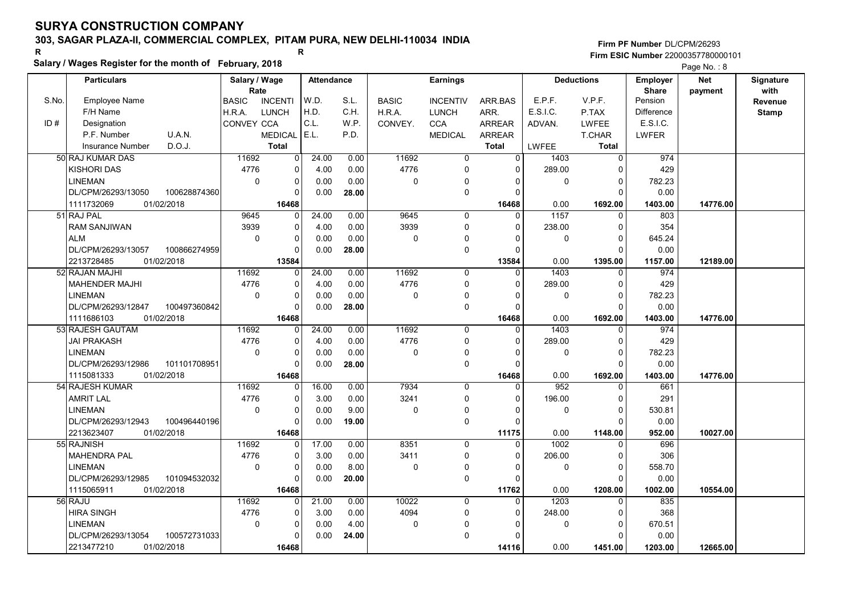# 303, SAGAR PLAZA-II, COMMERCIAL COMPLEX, PITAM PURA, NEW DELHI-110034 INDIA

### Salary / Wages Register for the month of February, 2018

|       | Salary / wages Register for the month of February, 2018 |                                |                |                   |              |                 |                |                  |                   | Page No.: 8       |            |              |
|-------|---------------------------------------------------------|--------------------------------|----------------|-------------------|--------------|-----------------|----------------|------------------|-------------------|-------------------|------------|--------------|
|       | <b>Particulars</b>                                      | Salary / Wage                  |                | <b>Attendance</b> |              | <b>Earnings</b> |                |                  | <b>Deductions</b> | <b>Employer</b>   | <b>Net</b> | Signature    |
|       |                                                         | Rate                           |                |                   |              |                 |                |                  |                   | <b>Share</b>      | payment    | with         |
| S.No. | <b>Employee Name</b>                                    | <b>BASIC</b><br><b>INCENTI</b> | W.D.           | S.L.              | <b>BASIC</b> | <b>INCENTIV</b> | ARR BAS        | E.P.F.           | V.P.F.            | Pension           |            | Revenue      |
|       | F/H Name                                                | <b>LUNCH</b><br>H.R.A.         | H.D.           | C.H.              | H.R.A.       | <b>LUNCH</b>    | ARR.           | E.S.I.C.         | P.TAX             | <b>Difference</b> |            | <b>Stamp</b> |
| ID#   | Designation                                             | CONVEY CCA                     | C.L.           | W.P.              | CONVEY.      | <b>CCA</b>      | <b>ARREAR</b>  | ADVAN.           | LWFEE             | E.S.I.C.          |            |              |
|       | U.A.N.<br>P.F. Number                                   | <b>MEDICAL</b>                 | E.L.           | P.D.              |              | <b>MEDICAL</b>  | <b>ARREAR</b>  |                  | <b>T.CHAR</b>     | <b>LWFER</b>      |            |              |
|       | D.O.J.<br><b>Insurance Number</b>                       | <b>Total</b>                   |                |                   |              |                 | <b>Total</b>   | LWFEE            | <b>Total</b>      |                   |            |              |
|       | 50 RAJ KUMAR DAS                                        | 11692                          | $\overline{0}$ | 24.00<br>0.00     | 11692        | $\overline{0}$  | $\overline{0}$ | 1403             | $\overline{0}$    | 974               |            |              |
|       | <b>KISHORI DAS</b>                                      | 4776                           | $\Omega$       | 0.00<br>4.00      | 4776         | $\mathbf 0$     | $\Omega$       | 289.00           | $\Omega$          | 429               |            |              |
|       | <b>LINEMAN</b>                                          | $\pmb{0}$                      | 0              | 0.00<br>0.00      | 0            | $\mathbf{0}$    | $\Omega$       | 0                | $\mathbf 0$       | 782.23            |            |              |
|       | DL/CPM/26293/13050<br>100628874360                      |                                | $\Omega$       | 0.00<br>28.00     |              | $\mathbf 0$     | $\Omega$       |                  | $\Omega$          | 0.00              |            |              |
|       | 1111732069<br>01/02/2018                                | 16468                          |                |                   |              |                 | 16468          | 0.00             | 1692.00           | 1403.00           | 14776.00   |              |
|       | 51 RAJ PAL                                              | 9645                           | $\Omega$       | 24.00<br>0.00     | 9645         | 0               | $\Omega$       | 1157             | $\Omega$          | 803               |            |              |
|       | <b>RAM SANJIWAN</b>                                     | 3939                           | 0              | 4.00<br>0.00      | 3939         | $\mathbf 0$     | $\Omega$       | 238.00           | $\Omega$          | 354               |            |              |
|       | <b>ALM</b>                                              | $\Omega$                       | $\Omega$       | 0.00<br>0.00      | 0            | 0               | $\Omega$       | 0                | $\Omega$          | 645.24            |            |              |
|       | DL/CPM/26293/13057<br>100866274959                      |                                | $\Omega$       | 0.00<br>28.00     |              | $\pmb{0}$       | $\Omega$       |                  | $\Omega$          | 0.00              |            |              |
|       | 2213728485<br>01/02/2018                                | 13584                          |                |                   |              |                 | 13584          | 0.00             | 1395.00           | 1157.00           | 12189.00   |              |
|       | 52 RAJAN MAJHI                                          | 11692                          | 0              | 24.00<br>0.00     | 11692        | $\mathbf 0$     | $\mathbf 0$    | 1403             | $\mathbf 0$       | 974               |            |              |
|       | <b>MAHENDER MAJHI</b>                                   | 4776                           | 0              | 4.00<br>0.00      | 4776         | $\mathbf 0$     | $\Omega$       | 289.00           | $\mathbf 0$       | 429               |            |              |
|       | <b>LINEMAN</b>                                          | $\mathbf 0$                    | $\Omega$       | 0.00<br>0.00      | 0            | 0               | $\Omega$       | 0                | $\Omega$          | 782.23            |            |              |
|       | 100497360842<br>DL/CPM/26293/12847                      |                                | 0              | 0.00<br>28.00     |              | $\mathbf 0$     | $\Omega$       |                  | $\Omega$          | 0.00              |            |              |
|       | 1111686103<br>01/02/2018                                | 16468                          |                |                   |              |                 | 16468          | 0.00             | 1692.00           | 1403.00           | 14776.00   |              |
|       | 53 RAJESH GAUTAM                                        | 11692                          | 0              | 24.00<br>0.00     | 11692        | $\Omega$        | $\Omega$       | 1403             | $\Omega$          | 974               |            |              |
|       | JAI PRAKASH                                             | 4776                           | 0              | 4.00<br>0.00      | 4776         | 0               | $\Omega$       | 289.00           | $\Omega$          | 429               |            |              |
|       | <b>LINEMAN</b>                                          | $\mathbf 0$                    | 0              | 0.00<br>0.00      | 0            | $\mathbf{0}$    | $\Omega$       | 0                | $\overline{0}$    | 782.23            |            |              |
|       | DL/CPM/26293/12986<br>101101708951                      |                                | $\Omega$       | 0.00<br>28.00     |              | $\mathbf 0$     | $\Omega$       |                  | $\Omega$          | 0.00              |            |              |
|       | 1115081333<br>01/02/2018                                | 16468                          |                |                   |              |                 | 16468          | 0.00             | 1692.00           | 1403.00           | 14776.00   |              |
|       | 54 RAJESH KUMAR                                         | 11692                          | $\Omega$       | 16.00<br>0.00     | 7934         | $\mathbf 0$     | $\Omega$       | $\overline{952}$ | $\mathbf{0}$      | 661               |            |              |
|       | <b>AMRIT LAL</b>                                        | 4776                           | 0              | 0.00<br>3.00      | 3241         | $\mathbf 0$     | $\Omega$       | 196.00           | $\Omega$          | 291               |            |              |
|       | <b>LINEMAN</b>                                          | $\mathbf 0$                    | 0              | 0.00<br>9.00      | 0            | 0               | $\Omega$       | 0                | $\Omega$          | 530.81            |            |              |
|       | DL/CPM/26293/12943<br>100496440196                      |                                | $\Omega$       | 0.00<br>19.00     |              | $\mathbf 0$     | $\Omega$       |                  | $\Omega$          | 0.00              |            |              |
|       | 2213623407<br>01/02/2018                                | 16468                          |                |                   |              |                 | 11175          | 0.00             | 1148.00           | 952.00            | 10027.00   |              |
|       | 55 RAJNISH                                              | 11692                          | 0              | 17.00<br>0.00     | 8351         | 0               | $\Omega$       | 1002             | $\Omega$          | 696               |            |              |
|       | <b>MAHENDRA PAL</b>                                     | 4776                           | 0              | 3.00<br>0.00      | 3411         | $\mathbf 0$     | $\Omega$       | 206.00           | $\Omega$          | 306               |            |              |
|       | <b>LINEMAN</b>                                          | $\Omega$                       | $\Omega$       | 8.00<br>0.00      | 0            | 0               | $\Omega$       | 0                | $\mathbf 0$       | 558.70            |            |              |
|       | 101094532032<br>DL/CPM/26293/12985                      |                                | $\Omega$       | 0.00<br>20.00     |              | $\mathbf 0$     | $\Omega$       |                  | $\Omega$          | 0.00              |            |              |
|       | 1115065911<br>01/02/2018                                | 16468                          |                |                   |              |                 | 11762          | 0.00             | 1208.00           | 1002.00           | 10554.00   |              |
|       | 56 RAJU                                                 | 11692                          | 0              | 21.00<br>0.00     | 10022        | $\mathbf 0$     | 0              | 1203             | $\Omega$          | 835               |            |              |
|       | <b>HIRA SINGH</b>                                       | 4776                           | 0              | 3.00<br>0.00      | 4094         | $\mathbf 0$     | 0              | 248.00           | 0                 | 368               |            |              |
|       | <b>LINEMAN</b>                                          | $\mathbf 0$                    | 0              | 4.00<br>0.00      | $\Omega$     | $\mathbf{0}$    | O              | 0                | $\overline{0}$    | 670.51            |            |              |
|       | DL/CPM/26293/13054<br>100572731033                      |                                | U              | 0.00<br>24.00     |              | $\mathbf 0$     | $\Omega$       |                  | $\Omega$          | 0.00              |            |              |
|       | 2213477210<br>01/02/2018                                | 16468                          |                |                   |              |                 | 14116          | 0.00             | 1451.00           | 1203.00           | 12665.00   |              |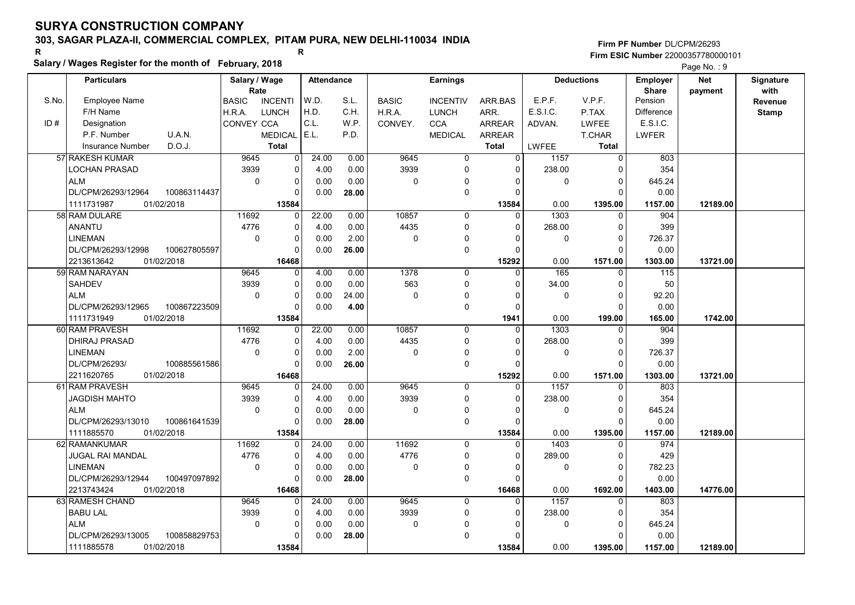# 303, SAGAR PLAZA-II, COMMERCIAL COMPLEX, PITAM PURA, NEW DELHI-110034 INDIA

### Salary / Wages Register for the month of February, 2018

|       | Salary / wages Register for the month of February, 2018 |                        |                |                   |       |              |                 |                |          | Page No.: 9       |                 |            |              |
|-------|---------------------------------------------------------|------------------------|----------------|-------------------|-------|--------------|-----------------|----------------|----------|-------------------|-----------------|------------|--------------|
|       | <b>Particulars</b>                                      | Salary / Wage          |                | <b>Attendance</b> |       |              | <b>Earnings</b> |                |          | <b>Deductions</b> | <b>Employer</b> | <b>Net</b> | Signature    |
|       |                                                         | Rate                   |                |                   |       |              |                 |                |          |                   | <b>Share</b>    | payment    | with         |
| S.No. | <b>Employee Name</b>                                    | <b>BASIC</b>           | <b>INCENTI</b> | W.D.              | S.L.  | <b>BASIC</b> | <b>INCENTIV</b> | ARR BAS        | E.P.F.   | V.P.F.            | Pension         |            | Revenue      |
|       | F/H Name                                                | H.R.A.<br><b>LUNCH</b> |                | H.D.              | C.H.  | H.R.A.       | <b>LUNCH</b>    | ARR.           | E.S.I.C. | P.TAX             | Difference      |            | <b>Stamp</b> |
| ID#   | Designation                                             | CONVEY CCA             |                | C.L.              | W.P.  | CONVEY.      | <b>CCA</b>      | <b>ARREAR</b>  | ADVAN.   | <b>LWFEE</b>      | E.S.I.C.        |            |              |
|       | U.A.N.<br>P.F. Number                                   |                        | <b>MEDICAL</b> | E.L.              | P.D.  |              | <b>MEDICAL</b>  | <b>ARREAR</b>  |          | <b>T.CHAR</b>     | <b>LWFER</b>    |            |              |
|       | D.O.J.<br><b>Insurance Number</b>                       |                        | <b>Total</b>   |                   |       |              |                 | <b>Total</b>   | LWFEE    | <b>Total</b>      |                 |            |              |
|       | 57 RAKESH KUMAR                                         | 9645                   | $\overline{0}$ | 24.00             | 0.00  | 9645         | $\overline{0}$  | $\overline{0}$ | 1157     | $\overline{0}$    | 803             |            |              |
|       | LOCHAN PRASAD                                           | 3939                   | 0              | 4.00              | 0.00  | 3939         | $\mathbf 0$     | $\Omega$       | 238.00   | ∩                 | 354             |            |              |
|       | <b>ALM</b>                                              | $\mathbf 0$            | 0              | 0.00              | 0.00  | 0            | $\Omega$        | 0              | 0        | $\Omega$          | 645.24          |            |              |
|       | DL/CPM/26293/12964<br>100863114437                      |                        | $\Omega$       | 0.00              | 28.00 |              | $\mathbf 0$     | $\Omega$       |          | $\Omega$          | 0.00            |            |              |
|       | 1111731987<br>01/02/2018                                |                        | 13584          |                   |       |              |                 | 13584          | 0.00     | 1395.00           | 1157.00         | 12189.00   |              |
|       | 58 RAM DULARE                                           | 11692                  | 0              | 22.00             | 0.00  | 10857        | $\mathbf 0$     | $\Omega$       | 1303     | $\Omega$          | 904             |            |              |
|       | <b>ANANTU</b>                                           | 4776                   | 0              | 4.00              | 0.00  | 4435         | $\Omega$        | $\Omega$       | 268.00   | $\Omega$          | 399             |            |              |
|       | <b>LINEMAN</b>                                          | $\mathbf 0$            | 0              | 0.00              | 2.00  | 0            | $\mathbf 0$     | O              | 0        | $\Omega$          | 726.37          |            |              |
|       | DL/CPM/26293/12998<br>100627805597                      |                        | $\Omega$       | 0.00              | 26.00 |              | $\mathbf 0$     | $\Omega$       |          | $\Omega$          | 0.00            |            |              |
|       | 2213613642<br>01/02/2018                                |                        | 16468          |                   |       |              |                 | 15292          | 0.00     | 1571.00           | 1303.00         | 13721.00   |              |
|       | 59 RAM NARAYAN                                          | 9645                   | 0              | 4.00              | 0.00  | 1378         | $\mathbf 0$     | $\Omega$       | 165      | $\Omega$          | 115             |            |              |
|       | <b>SAHDEV</b>                                           | 3939                   | 0              | 0.00              | 0.00  | 563          | $\mathbf 0$     | $\Omega$       | 34.00    | $\Omega$          | 50              |            |              |
|       | <b>ALM</b>                                              | $\mathbf 0$            | 0              | 0.00              | 24.00 | $\mathbf 0$  | 0               | $\Omega$       | 0        | $\Omega$          | 92.20           |            |              |
|       | DL/CPM/26293/12965<br>100867223509                      |                        | 0              | 0.00              | 4.00  |              | $\mathbf 0$     | $\Omega$       |          | O                 | 0.00            |            |              |
|       | 1111731949<br>01/02/2018                                |                        | 13584          |                   |       |              |                 | 1941           | 0.00     | 199.00            | 165.00          | 1742.00    |              |
|       | 60 RAM PRAVESH                                          | 11692                  | 0              | 22.00             | 0.00  | 10857        | $\mathbf 0$     | $\Omega$       | 1303     | $\Omega$          | 904             |            |              |
|       | DHIRAJ PRASAD                                           | 4776                   | 0              | 4.00              | 0.00  | 4435         | $\mathbf 0$     | $\Omega$       | 268.00   | $\Omega$          | 399             |            |              |
|       | <b>LINEMAN</b>                                          | $\mathbf 0$            | 0              | 0.00              | 2.00  | 0            | $\Omega$        | O              | 0        | $\Omega$          | 726.37          |            |              |
|       | DL/CPM/26293/<br>100885561586                           |                        | 0              | 0.00              | 26.00 |              | $\mathbf 0$     | $\Omega$       |          | $\Omega$          | 0.00            |            |              |
|       | 2211620765<br>01/02/2018                                |                        | 16468          |                   |       |              |                 | 15292          | 0.00     | 1571.00           | 1303.00         | 13721.00   |              |
|       | 61 RAM PRAVESH                                          | 9645                   | 0              | 24.00             | 0.00  | 9645         | 0               | $\mathbf 0$    | 1157     | $\mathbf 0$       | 803             |            |              |
|       | JAGDISH MAHTO                                           | 3939                   | 0              | 4.00              | 0.00  | 3939         | $\mathbf 0$     | $\Omega$       | 238.00   | $\Omega$          | 354             |            |              |
|       | <b>ALM</b>                                              | $\Omega$               | 0              | 0.00              | 0.00  | 0            | $\mathbf 0$     | $\Omega$       | 0        | $\Omega$          | 645.24          |            |              |
|       | DL/CPM/26293/13010<br>100861641539                      |                        | 0              | 0.00              | 28.00 |              | $\mathbf 0$     | $\Omega$       |          | O                 | 0.00            |            |              |
|       | 1111885570<br>01/02/2018                                |                        | 13584          |                   |       |              |                 | 13584          | 0.00     | 1395.00           | 1157.00         | 12189.00   |              |
|       | 62 RAMANKUMAR                                           | 11692                  | 0              | 24.00             | 0.00  | 11692        | $\Omega$        | $\Omega$       | 1403     | $\Omega$          | 974             |            |              |
|       | JUGAL RAI MANDAL                                        | 4776                   | 0              | 4.00              | 0.00  | 4776         | $\mathbf 0$     | $\Omega$       | 289.00   | $\Omega$          | 429             |            |              |
|       | LINEMAN                                                 | $\mathbf 0$            | 0              | 0.00              | 0.00  | 0            | 0               | O              | 0        | $\Omega$          | 782.23          |            |              |
|       | DL/CPM/26293/12944<br>100497097892                      |                        | 0              | 0.00              | 28.00 |              | $\mathbf 0$     | $\Omega$       |          | $\Omega$          | 0.00            |            |              |
|       | 2213743424<br>01/02/2018                                |                        | 16468          |                   |       |              |                 | 16468          | 0.00     | 1692.00           | 1403.00         | 14776.00   |              |
|       | 63 RAMESH CHAND                                         | 9645                   | $\Omega$       | 24.00             | 0.00  | 9645         | $\Omega$        | $\Omega$       | 1157     | $\Omega$          | 803             |            |              |
|       | <b>BABU LAL</b>                                         | 3939                   | 0              | 4.00              | 0.00  | 3939         | 0               | $\Omega$       | 238.00   | $\Omega$          | 354             |            |              |
|       | <b>ALM</b>                                              | $\mathbf 0$            | 0              | 0.00              | 0.00  | 0            | $\mathbf{0}$    |                | 0        | $\Omega$          | 645.24          |            |              |
|       | DL/CPM/26293/13005<br>100858829753                      |                        | O              | 0.00              | 28.00 |              | $\Omega$        | $\Omega$       |          | ∩                 | 0.00            |            |              |
|       | 1111885578<br>01/02/2018                                |                        | 13584          |                   |       |              |                 | 13584          | 0.00     | 1395.00           | 1157.00         | 12189.00   |              |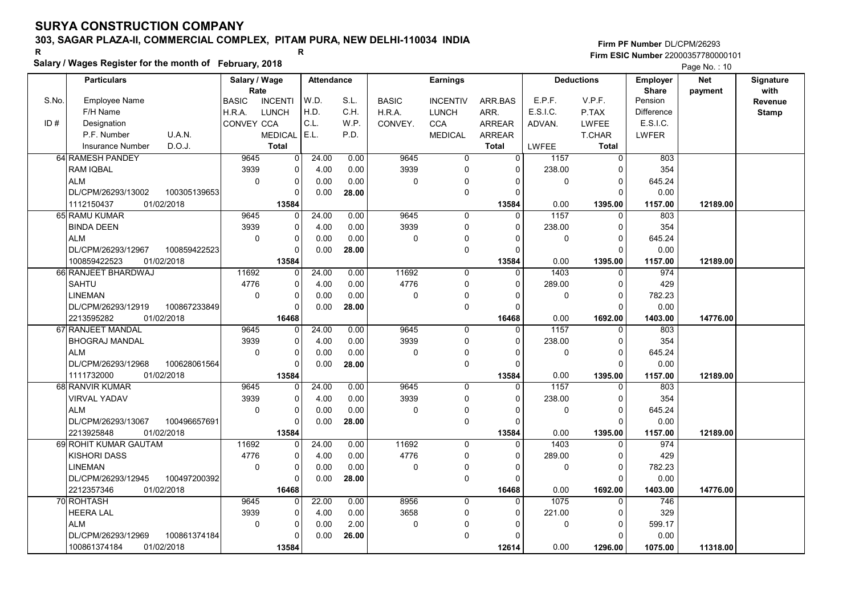# 303, SAGAR PLAZA-II, COMMERCIAL COMPLEX, PITAM PURA, NEW DELHI-110034 INDIA

#### Salary / Wages Register for the month of February, 2018

|       | Salary / wages Register for the month of February, 2018 |                     |                      |                   |       |              |                         |                      |             |                      | Page No.: 10      |            |                  |
|-------|---------------------------------------------------------|---------------------|----------------------|-------------------|-------|--------------|-------------------------|----------------------|-------------|----------------------|-------------------|------------|------------------|
|       | <b>Particulars</b>                                      | Salary / Wage       |                      | <b>Attendance</b> |       |              | <b>Earnings</b>         |                      |             | <b>Deductions</b>    | <b>Employer</b>   | <b>Net</b> | <b>Signature</b> |
|       |                                                         | Rate                |                      |                   |       |              |                         |                      |             |                      | <b>Share</b>      | payment    | with             |
| S.No. | <b>Employee Name</b>                                    | <b>BASIC</b>        | <b>INCENTI</b>       | W.D.              | S.L.  | <b>BASIC</b> | <b>INCENTIV</b>         | ARR.BAS              | E.P.F.      | V.P.F.               | Pension           |            | Revenue          |
|       | F/H Name                                                | H.R.A.              | <b>LUNCH</b>         | H.D.              | C.H.  | H.R.A.       | <b>LUNCH</b>            | ARR.                 | E.S.I.C.    | P.TAX                | <b>Difference</b> |            | <b>Stamp</b>     |
| ID#   | Designation                                             | CONVEY CCA          |                      | C.L.              | W.P.  | CONVEY.      | <b>CCA</b>              | <b>ARREAR</b>        | ADVAN.      | LWFEE                | E.S.I.C.          |            |                  |
|       | U.A.N.<br>P.F. Number                                   |                     | <b>MEDICAL</b>       | E.L.              | P.D.  |              | <b>MEDICAL</b>          | <b>ARREAR</b>        |             | T.CHAR               | <b>LWFER</b>      |            |                  |
|       | D.O.J.<br><b>Insurance Number</b>                       |                     | <b>Total</b>         |                   |       |              |                         | <b>Total</b>         | LWFEE       | <b>Total</b>         |                   |            |                  |
|       | 64 RAMESH PANDEY                                        | 9645                | $\mathbf 0$          | 24.00             | 0.00  | 9645         | $\overline{0}$          | $\overline{0}$       | 1157        | $\overline{0}$       | 803               |            |                  |
|       | <b>RAM IQBAL</b>                                        | 3939                | $\mathbf 0$          | 4.00              | 0.00  | 3939         | $\mathbf 0$             | $\Omega$             | 238.00      | $\Omega$             | 354               |            |                  |
|       | <b>ALM</b>                                              | $\mathbf 0$         | $\mathbf 0$          | 0.00              | 0.00  | 0            | $\mathbf{0}$            | 0                    | $\pmb{0}$   | 0                    | 645.24            |            |                  |
|       | DL/CPM/26293/13002<br>100305139653                      |                     | $\Omega$             | 0.00              | 28.00 |              | $\mathbf 0$             | $\Omega$             |             | $\Omega$             | 0.00              |            |                  |
|       | 1112150437<br>01/02/2018                                |                     | 13584                |                   |       |              |                         | 13584                | 0.00        | 1395.00              | 1157.00           | 12189.00   |                  |
|       | 65 RAMU KUMAR                                           | 9645                | 0                    | 24.00             | 0.00  | 9645         | $\mathbf 0$             | $\Omega$             | 1157        | $\Omega$             | 803               |            |                  |
|       | <b>BINDA DEEN</b>                                       | 3939                | 0                    | 4.00              | 0.00  | 3939         | $\Omega$                | $\Omega$             | 238.00      | $\Omega$             | 354               |            |                  |
|       | <b>ALM</b>                                              | $\Omega$            | 0                    | 0.00              | 0.00  | 0            | $\mathbf 0$             | $\Omega$             | 0           | $\Omega$             | 645.24            |            |                  |
|       | DL/CPM/26293/12967<br>100859422523                      |                     | $\Omega$             | 0.00              | 28.00 |              | $\mathbf 0$             | $\Omega$             |             | $\Omega$             | 0.00              |            |                  |
|       | 100859422523<br>01/02/2018                              |                     | 13584                |                   |       |              |                         | 13584                | 0.00        | 1395.00              | 1157.00           | 12189.00   |                  |
|       | 66 RANJEET BHARDWAJ                                     | 11692               | 0                    | 24.00             | 0.00  | 11692        | $\mathbf 0$             | $\Omega$             | 1403        | 0                    | 974               |            |                  |
|       | <b>SAHTU</b>                                            | 4776                | $\mathbf 0$          | 4.00              | 0.00  | 4776         | $\mathbf 0$             | $\Omega$             | 289.00      | $\Omega$             | 429               |            |                  |
|       | <b>LINEMAN</b>                                          | $\mathbf 0$         | $\mathbf 0$          | 0.00              | 0.00  | 0            | 0                       | $\Omega$             | $\mathbf 0$ | $\Omega$             | 782.23            |            |                  |
|       | DL/CPM/26293/12919<br>100867233849                      |                     | $\Omega$             | 0.00              | 28.00 |              | $\mathbf 0$             | $\Omega$             |             | $\Omega$             | 0.00              |            |                  |
|       | 2213595282<br>01/02/2018                                |                     | 16468                |                   |       |              |                         | 16468                | 0.00        | 1692.00<br>$\Omega$  | 1403.00           | 14776.00   |                  |
|       | 67 RANJEET MANDAL                                       | 9645                | 0                    | 24.00             | 0.00  | 9645<br>3939 | $\mathbf 0$             | $\Omega$             | 1157        |                      | 803               |            |                  |
|       | <b>BHOGRAJ MANDAL</b>                                   | 3939<br>$\mathbf 0$ | $\mathbf 0$          | 4.00              | 0.00  | $\mathbf 0$  | $\mathbf 0$<br>$\Omega$ | $\Omega$<br>$\Omega$ | 238.00      | $\Omega$<br>$\Omega$ | 354               |            |                  |
|       | <b>ALM</b>                                              |                     | $\pmb{0}$            | 0.00              | 0.00  |              | $\mathbf 0$             | $\Omega$             | $\pmb{0}$   | $\Omega$             | 645.24            |            |                  |
|       | DL/CPM/26293/12968<br>100628061564<br>01/02/2018        |                     | $\Omega$             | 0.00              | 28.00 |              |                         |                      | 0.00        |                      | 0.00              |            |                  |
|       | 1111732000<br>68 RANVIR KUMAR                           | 9645                | 13584<br>$\mathbf 0$ | 24.00             | 0.00  | 9645         | 0                       | 13584<br>$\mathbf 0$ | 1157        | 1395.00<br>$\Omega$  | 1157.00<br>803    | 12189.00   |                  |
|       | <b>VIRVAL YADAV</b>                                     | 3939                | 0                    | 4.00              | 0.00  | 3939         | $\mathbf 0$             | $\Omega$             | 238.00      | $\Omega$             | 354               |            |                  |
|       | <b>ALM</b>                                              | $\Omega$            | $\Omega$             | 0.00              | 0.00  | 0            | $\mathbf 0$             | $\Omega$             | $\mathbf 0$ | $\Omega$             | 645.24            |            |                  |
|       | 100496657691<br>DL/CPM/26293/13067                      |                     | $\mathbf 0$          | 0.00              | 28.00 |              | $\mathbf 0$             | $\Omega$             |             | $\Omega$             | 0.00              |            |                  |
|       | 2213925848<br>01/02/2018                                |                     | 13584                |                   |       |              |                         | 13584                | 0.00        | 1395.00              | 1157.00           | 12189.00   |                  |
|       | 69 ROHIT KUMAR GAUTAM                                   | 11692               | $\Omega$             | 24.00             | 0.00  | 11692        | $\Omega$                | $\Omega$             | 1403        | $\Omega$             | 974               |            |                  |
|       | <b>KISHORI DASS</b>                                     | 4776                | $\mathbf 0$          | 4.00              | 0.00  | 4776         | $\mathbf 0$             | $\Omega$             | 289.00      | $\Omega$             | 429               |            |                  |
|       | <b>LINEMAN</b>                                          | $\Omega$            | $\mathbf 0$          | 0.00              | 0.00  | 0            | 0                       | $\Omega$             | $\mathbf 0$ | $\Omega$             | 782.23            |            |                  |
|       | DL/CPM/26293/12945<br>100497200392                      |                     | $\Omega$             | 0.00              | 28.00 |              | $\mathbf 0$             | $\Omega$             |             | $\Omega$             | 0.00              |            |                  |
|       | 2212357346<br>01/02/2018                                |                     | 16468                |                   |       |              |                         | 16468                | 0.00        | 1692.00              | 1403.00           | 14776.00   |                  |
|       | 70 ROHTASH                                              | 9645                | $\Omega$             | 22.00             | 0.00  | 8956         | $\Omega$                | $\Omega$             | 1075        | $\Omega$             | 746               |            |                  |
|       | <b>HEERA LAL</b>                                        | 3939                | $\mathbf 0$          | 4.00              | 0.00  | 3658         | $\mathbf 0$             | 0                    | 221.00      | 0                    | 329               |            |                  |
|       | <b>ALM</b>                                              | $\mathbf 0$         | $\mathbf 0$          | 0.00              | 2.00  | 0            | $\Omega$                | $\Omega$             | $\mathbf 0$ | $\Omega$             | 599.17            |            |                  |
|       | DL/CPM/26293/12969<br>100861374184                      |                     | O                    | 0.00              | 26.00 |              | $\Omega$                | $\Omega$             |             | $\Omega$             | 0.00              |            |                  |
|       | 100861374184<br>01/02/2018                              |                     | 13584                |                   |       |              |                         | 12614                | 0.00        | 1296.00              | 1075.00           | 11318.00   |                  |
|       |                                                         |                     |                      |                   |       |              |                         |                      |             |                      |                   |            |                  |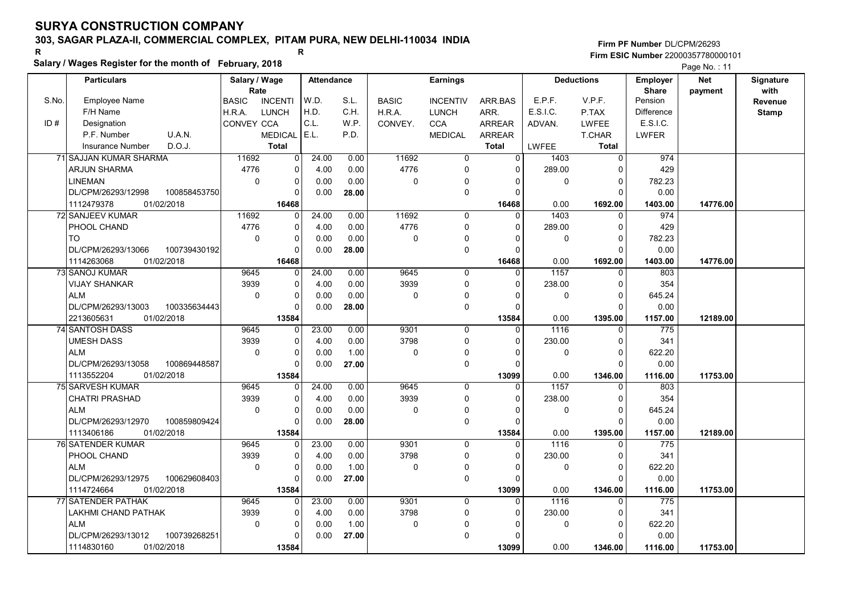# 303, SAGAR PLAZA-II, COMMERCIAL COMPLEX, PITAM PURA, NEW DELHI-110034 INDIA

### Salary / Wages Register for the month of February, 2018

|       |                                    | Salary / wages Register for the month of February, 2018 |                |                   |       |              |                 |                |          |                   |                   | Page No.: 11 |              |
|-------|------------------------------------|---------------------------------------------------------|----------------|-------------------|-------|--------------|-----------------|----------------|----------|-------------------|-------------------|--------------|--------------|
|       | <b>Particulars</b>                 | Salary / Wage                                           |                | <b>Attendance</b> |       |              | <b>Earnings</b> |                |          | <b>Deductions</b> | <b>Employer</b>   | Net          | Signature    |
|       |                                    | Rate                                                    |                |                   |       |              |                 |                |          |                   | <b>Share</b>      | payment      | with         |
| S.No. | <b>Employee Name</b>               | <b>BASIC</b>                                            | <b>INCENTI</b> | W.D.              | S.L.  | <b>BASIC</b> | <b>INCENTIV</b> | ARR BAS        | E.P.F.   | V.P.F.            | Pension           |              | Revenue      |
|       | F/H Name                           | H.R.A.                                                  | LUNCH          | H.D.              | C.H.  | H.R.A.       | <b>LUNCH</b>    | ARR.           | E.S.I.C. | P.TAX             | <b>Difference</b> |              | <b>Stamp</b> |
| ID#   | Designation                        | CONVEY CCA                                              |                | C.L.              | W.P.  | CONVEY.      | <b>CCA</b>      | <b>ARREAR</b>  | ADVAN.   | <b>LWFEE</b>      | E.S.I.C.          |              |              |
|       | U.A.N.<br>P.F. Number              |                                                         | <b>MEDICAL</b> | E.L.              | P.D.  |              | <b>MEDICAL</b>  | <b>ARREAR</b>  |          | <b>T.CHAR</b>     | <b>LWFER</b>      |              |              |
|       | D.O.J.<br><b>Insurance Number</b>  |                                                         | <b>Total</b>   |                   |       |              |                 | <b>Total</b>   | LWFEE    | <b>Total</b>      |                   |              |              |
|       | 71 SAJJAN KUMAR SHARMA             | 11692                                                   | 0              | 24.00             | 0.00  | 11692        | $\overline{0}$  | $\overline{0}$ | 1403     | $\overline{0}$    | 974               |              |              |
|       | <b>ARJUN SHARMA</b>                | 4776                                                    | 0              | 4.00              | 0.00  | 4776         | $\Omega$        | $\Omega$       | 289.00   | $\cap$            | 429               |              |              |
|       | LINEMAN                            | $\mathbf 0$                                             | 0              | 0.00              | 0.00  | $\mathbf 0$  | $\mathbf 0$     | 0              | 0        | $\mathbf 0$       | 782.23            |              |              |
|       | DL/CPM/26293/12998<br>100858453750 |                                                         | $\Omega$       | 0.00              | 28.00 |              | $\mathbf 0$     | $\Omega$       |          | $\Omega$          | 0.00              |              |              |
|       | 1112479378<br>01/02/2018           |                                                         | 16468          |                   |       |              |                 | 16468          | 0.00     | 1692.00           | 1403.00           | 14776.00     |              |
|       | 72 SANJEEV KUMAR                   | 11692                                                   | 0              | 24.00             | 0.00  | 11692        | 0               | $\Omega$       | 1403     | $\Omega$          | 974               |              |              |
|       | PHOOL CHAND                        | 4776                                                    | 0              | 4.00              | 0.00  | 4776         | $\mathbf 0$     | $\Omega$       | 289.00   | $\Omega$          | 429               |              |              |
|       | <b>TO</b>                          | $\Omega$                                                | 0              | 0.00              | 0.00  | $\Omega$     | $\mathbf 0$     | $\Omega$       | $\Omega$ | $\Omega$          | 782.23            |              |              |
|       | DL/CPM/26293/13066<br>100739430192 |                                                         | $\overline{0}$ | 0.00              | 28.00 |              | $\pmb{0}$       | $\Omega$       |          | C                 | 0.00              |              |              |
|       | 1114263068<br>01/02/2018           |                                                         | 16468          |                   |       |              |                 | 16468          | 0.00     | 1692.00           | 1403.00           | 14776.00     |              |
|       | 73 SANOJ KUMAR                     | 9645                                                    | 0              | 24.00             | 0.00  | 9645         | $\mathbf 0$     | 0              | 1157     | $\Omega$          | 803               |              |              |
|       | <b>VIJAY SHANKAR</b>               | 3939                                                    | 0              | 4.00              | 0.00  | 3939         | $\mathbf 0$     | $\Omega$       | 238.00   | $\Omega$          | 354               |              |              |
|       | <b>ALM</b>                         | $\Omega$                                                | 0              | 0.00              | 0.00  | $\mathbf 0$  | 0               | 0              | 0        | $\Omega$          | 645.24            |              |              |
|       | 100335634443<br>DL/CPM/26293/13003 |                                                         | 0              | 0.00              | 28.00 |              | $\mathbf 0$     | $\Omega$       |          | $\Omega$          | 0.00              |              |              |
|       | 2213605631<br>01/02/2018           |                                                         | 13584          |                   |       |              |                 | 13584          | 0.00     | 1395.00           | 1157.00           | 12189.00     |              |
|       | 74 SANTOSH DASS                    | 9645                                                    | 0              | 23.00             | 0.00  | 9301         | $\Omega$        | $\Omega$       | 1116     | $\Omega$          | 775               |              |              |
|       | UMESH DASS                         | 3939                                                    | 0              | 4.00              | 0.00  | 3798         | $\mathbf 0$     | $\Omega$       | 230.00   | $\Omega$          | 341               |              |              |
|       | <b>ALM</b>                         | $\mathbf 0$                                             | 0              | 0.00              | 1.00  | $\mathbf 0$  | $\Omega$        | 0              | 0        | $\Omega$          | 622.20            |              |              |
|       | DL/CPM/26293/13058<br>100869448587 |                                                         | $\Omega$       | 0.00              | 27.00 |              | $\mathbf 0$     | $\Omega$       |          | $\Omega$          | 0.00              |              |              |
|       | 1113552204<br>01/02/2018           |                                                         | 13584          |                   |       |              |                 | 13099          | 0.00     | 1346.00           | 1116.00           | 11753.00     |              |
|       | 75 SARVESH KUMAR                   | 9645                                                    | $\Omega$       | 24.00             | 0.00  | 9645         | $\mathbf 0$     | $\Omega$       | 1157     | $\Omega$          | 803               |              |              |
|       | <b>CHATRI PRASHAD</b>              | 3939                                                    | 0              | 4.00              | 0.00  | 3939         | $\mathbf 0$     | $\Omega$       | 238.00   | $\Omega$          | 354               |              |              |
|       | <b>ALM</b>                         | $\mathbf 0$                                             | 0              | 0.00              | 0.00  | $\mathbf 0$  | $\mathbf 0$     | $\Omega$       | 0        | $\Omega$          | 645.24            |              |              |
|       | DL/CPM/26293/12970<br>100859809424 |                                                         | 0              | 0.00              | 28.00 |              | $\mathbf 0$     | $\Omega$       |          | ſ                 | 0.00              |              |              |
|       | 1113406186<br>01/02/2018           |                                                         | 13584          |                   |       |              |                 | 13584          | 0.00     | 1395.00           | 1157.00           | 12189.00     |              |
|       | 76 SATENDER KUMAR                  | 9645                                                    | 0              | 23.00             | 0.00  | 9301         | 0               | $\Omega$       | 1116     | $\Omega$          | 775               |              |              |
|       | PHOOL CHAND                        | 3939                                                    | 0              | 4.00              | 0.00  | 3798         | $\mathbf 0$     | $\Omega$       | 230.00   | $\Omega$          | 341               |              |              |
|       | <b>ALM</b>                         | $\Omega$                                                | 0              | 0.00              | 1.00  | $\mathbf 0$  | $\mathbf 0$     | $\Omega$       | 0        | $\Omega$          | 622.20            |              |              |
|       | 100629608403<br>DL/CPM/26293/12975 |                                                         | 0              | 0.00              | 27.00 |              | $\mathbf 0$     | $\Omega$       |          | $\Omega$          | 0.00              |              |              |
|       | 01/02/2018<br>1114724664           |                                                         | 13584          |                   |       |              |                 | 13099          | 0.00     | 1346.00           | 1116.00           | 11753.00     |              |
|       | 77 SATENDER PATHAK                 | 9645                                                    | $\Omega$       | 23.00             | 0.00  | 9301         | $\mathbf 0$     | 0              | 1116     | $\Omega$          | 775               |              |              |
|       | LAKHMI CHAND PATHAK                | 3939                                                    | 0              | 4.00              | 0.00  | 3798         | $\mathbf 0$     | 0              | 230.00   | $\Omega$          | 341               |              |              |
|       | <b>ALM</b>                         | $\mathbf 0$                                             | 0              | 0.00              | 1.00  | $\mathbf 0$  | $\Omega$        | O              | 0        | $\Omega$          | 622.20            |              |              |
|       | DL/CPM/26293/13012<br>100739268251 |                                                         | 0              | 0.00              | 27.00 |              | $\mathbf 0$     | $\Omega$       |          | $\Omega$          | 0.00              |              |              |
|       | 01/02/2018<br>1114830160           |                                                         | 13584          |                   |       |              |                 | 13099          | 0.00     | 1346.00           | 1116.00           | 11753.00     |              |
|       |                                    |                                                         |                |                   |       |              |                 |                |          |                   |                   |              |              |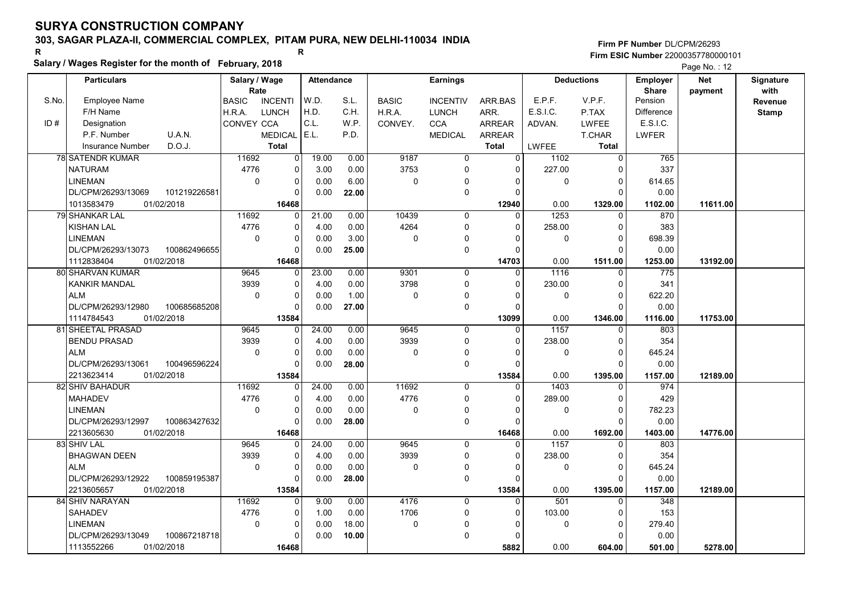# 303, SAGAR PLAZA-II, COMMERCIAL COMPLEX, PITAM PURA, NEW DELHI-110034 INDIA

#### Salary / Wages Register for the month of February, 2018

|       | Salary / Wages Register for the month of February, 2018 |                                |                         |                   |              |                 |                |              |                   |                 | Page No.: 12 |              |
|-------|---------------------------------------------------------|--------------------------------|-------------------------|-------------------|--------------|-----------------|----------------|--------------|-------------------|-----------------|--------------|--------------|
|       | <b>Particulars</b>                                      | Salary / Wage                  |                         | <b>Attendance</b> |              | <b>Earnings</b> |                |              | <b>Deductions</b> | <b>Employer</b> | <b>Net</b>   | Signature    |
|       |                                                         | Rate                           |                         |                   |              |                 |                |              |                   | <b>Share</b>    | payment      | with         |
| S.No. | <b>Employee Name</b>                                    | <b>BASIC</b><br><b>INCENTI</b> | W.D.                    | S.L.              | <b>BASIC</b> | <b>INCENTIV</b> | ARR.BAS        | E.P.F.       | V.P.F.            | Pension         |              | Revenue      |
|       | F/H Name                                                | H.R.A.<br><b>LUNCH</b>         | H.D.                    | C.H.              | H.R.A.       | <b>LUNCH</b>    | ARR.           | E.S.I.C.     | P.TAX             | Difference      |              | <b>Stamp</b> |
| ID#   | Designation                                             | <b>CONVEY CCA</b>              | C.L.                    | W.P.              | CONVEY.      | <b>CCA</b>      | <b>ARREAR</b>  | ADVAN.       | <b>LWFEE</b>      | E.S.I.C.        |              |              |
|       | P.F. Number<br>U.A.N.                                   | <b>MEDICAL</b>                 | E.L.                    | P.D.              |              | <b>MEDICAL</b>  | <b>ARREAR</b>  |              | T.CHAR            | LWFER           |              |              |
|       | D.O.J.<br>Insurance Number                              | <b>Total</b>                   |                         |                   |              |                 | <b>Total</b>   | <b>LWFEE</b> | <b>Total</b>      |                 |              |              |
|       | <b>78 SATENDR KUMAR</b>                                 | 11692                          | 19.00<br>$\overline{0}$ | 0.00              | 9187         | $\overline{0}$  | $\overline{0}$ | 1102         | $\overline{0}$    | 765             |              |              |
|       | <b>NATURAM</b>                                          | 4776                           | 0<br>3.00               | 0.00              | 3753         | 0               | $\Omega$       | 227.00       | $\Omega$          | 337             |              |              |
|       | <b>LINEMAN</b>                                          | $\mathbf 0$                    | 0<br>0.00               | 6.00              | $\mathbf 0$  | 0               | $\Omega$       | $\mathbf 0$  | $\mathbf 0$       | 614.65          |              |              |
|       | 101219226581<br>DL/CPM/26293/13069                      |                                | 0.00<br>0               | 22.00             |              | 0               | $\Omega$       |              | $\Omega$          | 0.00            |              |              |
|       | 1013583479<br>01/02/2018                                | 16468                          |                         |                   |              |                 | 12940          | 0.00         | 1329.00           | 1102.00         | 11611.00     |              |
|       | <b>79 SHANKAR LAL</b>                                   | 11692                          | 21.00<br>U              | 0.00              | 10439        | $\mathbf 0$     | $\Omega$       | 1253         | $\Omega$          | 870             |              |              |
|       | <b>KISHAN LAL</b>                                       | 4776                           | 0<br>4.00               | 0.00              | 4264         | 0               | 0              | 258.00       | 0                 | 383             |              |              |
|       | <b>LINEMAN</b>                                          | $\Omega$                       | 0<br>0.00               | 3.00              | $\mathbf 0$  | 0               | $\Omega$       | 0            | $\Omega$          | 698.39          |              |              |
|       | DL/CPM/26293/13073<br>100862496655                      |                                | O<br>0.00               | 25.00             |              | 0               | $\Omega$       |              | $\Omega$          | 0.00            |              |              |
|       | 1112838404<br>01/02/2018                                | 16468                          |                         |                   |              |                 | 14703          | 0.00         | 1511.00           | 1253.00         | 13192.00     |              |
|       | 80 SHARVAN KUMAR                                        | 9645                           | 23.00<br>0              | 0.00              | 9301         | 0               | $\Omega$       | 1116         | $\mathbf 0$       | 775             |              |              |
|       | <b>KANKIR MANDAL</b>                                    | 3939                           | 0<br>4.00               | 0.00              | 3798         | 0               | $\Omega$       | 230.00       | $\mathbf 0$       | 341             |              |              |
|       | <b>ALM</b>                                              | $\Omega$                       | $\Omega$<br>0.00        | 1.00              | $\mathbf{0}$ | 0               | $\Omega$       | $\mathbf{0}$ | $\Omega$          | 622.20          |              |              |
|       | DL/CPM/26293/12980<br>100685685208                      |                                | 0.00<br>$\Omega$        | 27.00             |              | 0               | $\Omega$       |              | $\Omega$          | 0.00            |              |              |
|       | 1114784543<br>01/02/2018                                | 13584                          |                         |                   |              |                 | 13099          | 0.00         | 1346.00           | 1116.00         | 11753.00     |              |
|       | 81 SHEETAL PRASAD                                       | 9645                           | 24.00<br>0              | 0.00              | 9645         | $\Omega$        | $\Omega$       | 1157         | $\Omega$          | 803             |              |              |
|       | <b>BENDU PRASAD</b>                                     | 3939                           | 0<br>4.00               | 0.00              | 3939         | 0               | $\Omega$       | 238.00       | $\Omega$          | 354             |              |              |
|       | <b>ALM</b>                                              | $\mathbf 0$                    | 0<br>0.00               | 0.00              | $\mathbf 0$  | 0               | $\mathbf{0}$   | $\mathbf 0$  | $\mathbf 0$       | 645.24          |              |              |
|       | DL/CPM/26293/13061<br>100496596224                      |                                | 0.00<br>0               | 28.00             |              | 0               | $\Omega$       |              | $\Omega$          | 0.00            |              |              |
|       | 2213623414<br>01/02/2018                                | 13584                          |                         |                   |              |                 | 13584          | 0.00         | 1395.00           | 1157.00         | 12189.00     |              |
|       | 82 SHIV BAHADUR                                         | 11692                          | 24.00<br>0              | 0.00              | 11692        | $\mathbf 0$     | $\Omega$       | 1403         | $\Omega$          | 974             |              |              |
|       | <b>MAHADEV</b>                                          | 4776                           | 0<br>4.00               | 0.00              | 4776         | 0               | 0              | 289.00       | $\mathbf 0$       | 429             |              |              |
|       | <b>LINEMAN</b>                                          | $\Omega$                       | 0.00<br>$\Omega$        | 0.00              | $\Omega$     | 0               | $\Omega$       | 0            | $\Omega$          | 782.23          |              |              |
|       | DL/CPM/26293/12997<br>100863427632                      |                                | 0.00<br>$\Omega$        | 28.00             |              | 0               | $\Omega$       |              | $\Omega$          | 0.00            |              |              |
|       | 2213605630<br>01/02/2018                                | 16468                          |                         |                   |              |                 | 16468          | 0.00         | 1692.00           | 1403.00         | 14776.00     |              |
|       | 83 SHIV LAL                                             | 9645                           | 24.00<br>0              | 0.00              | 9645         | $\Omega$        | $\Omega$       | 1157         | $\Omega$          | 803             |              |              |
|       | <b>BHAGWAN DEEN</b>                                     | 3939                           | $\Omega$<br>4.00        | 0.00              | 3939         | 0               | $\Omega$       | 238.00       | $\mathbf 0$       | 354             |              |              |
|       | <b>ALM</b>                                              | $\Omega$                       | 0<br>0.00               | 0.00              | $\mathbf 0$  | 0               | $\Omega$       | 0            | $\Omega$          | 645.24          |              |              |
|       | DL/CPM/26293/12922<br>100859195387                      |                                | 0.00<br>0               | 28.00             |              | 0               | $\Omega$       |              | $\Omega$          | 0.00            |              |              |
|       | 01/02/2018<br>2213605657                                | 13584                          |                         |                   |              |                 | 13584          | 0.00         | 1395.00           | 1157.00         | 12189.00     |              |
|       | 84 SHIV NARAYAN                                         | 11692                          | 9.00                    | 0.00              | 4176         | $\Omega$        | $\Omega$       | 501          | $\Omega$          | 348             |              |              |
|       | <b>SAHADEV</b>                                          | 4776                           | 1.00<br>0               | 0.00              | 1706         | 0               | $\Omega$       | 103.00       | $\mathbf 0$       | 153             |              |              |
|       | <b>LINEMAN</b>                                          | $\mathbf 0$                    | 0<br>0.00               | 18.00             | $\mathbf 0$  | 0               | $\Omega$       | 0            | $\Omega$          | 279.40          |              |              |
|       | DL/CPM/26293/13049<br>100867218718                      |                                | 0.00                    | 10.00             |              | 0               | $\Omega$       |              | $\Omega$          | 0.00            |              |              |
|       | 01/02/2018<br>1113552266                                | 16468                          |                         |                   |              |                 | 5882           | 0.00         | 604.00            | 501.00          | 5278.00      |              |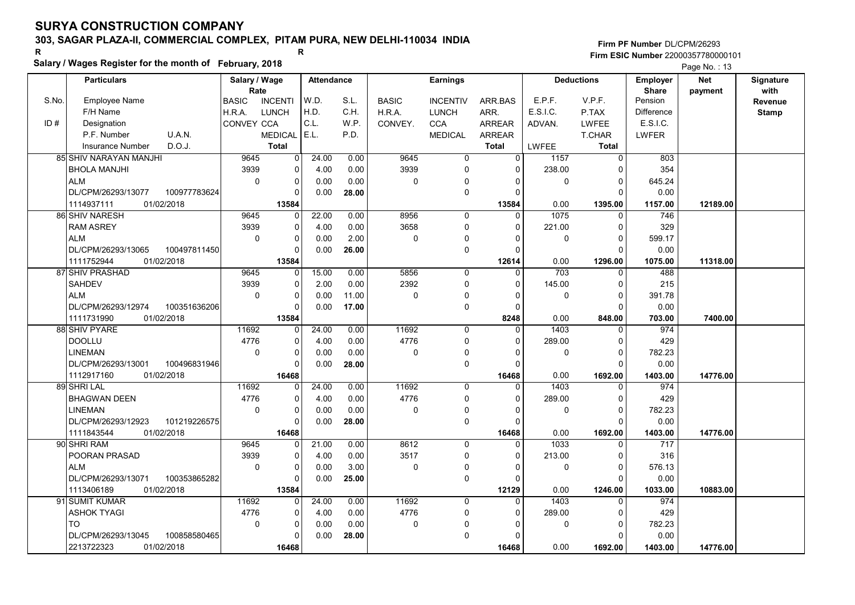### 303, SAGAR PLAZA-II, COMMERCIAL COMPLEX, PITAM PURA, NEW DELHI-110034 INDIA

#### Salary / Wages Register for the month of February, 2018

|       | Salary / Wages Register for the month of February, 2018<br>Page No.: 13 |                                |                         |       |                 |                 |                   |          |                 |              |           |              |
|-------|-------------------------------------------------------------------------|--------------------------------|-------------------------|-------|-----------------|-----------------|-------------------|----------|-----------------|--------------|-----------|--------------|
|       | <b>Particulars</b>                                                      | Salary / Wage                  | <b>Attendance</b>       |       | <b>Earnings</b> |                 | <b>Deductions</b> |          | <b>Employer</b> | <b>Net</b>   | Signature |              |
|       |                                                                         | Rate                           |                         |       |                 |                 |                   |          |                 | <b>Share</b> | payment   | with         |
| S.No. | <b>Employee Name</b>                                                    | <b>BASIC</b><br><b>INCENTI</b> | W.D.                    | S.L.  | <b>BASIC</b>    | <b>INCENTIV</b> | ARR.BAS           | E.P.F.   | V.P.F.          | Pension      |           | Revenue      |
|       | F/H Name                                                                | <b>LUNCH</b><br>H.R.A.         | H.D.                    | C.H.  | H.R.A.          | <b>LUNCH</b>    | ARR.              | E.S.I.C. | P.TAX           | Difference   |           | <b>Stamp</b> |
| ID#   | Designation                                                             | CONVEY CCA                     | C.L.                    | W.P.  | CONVEY.         | <b>CCA</b>      | ARREAR            | ADVAN.   | <b>LWFEE</b>    | E.S.I.C.     |           |              |
|       | U.A.N.<br>P.F. Number                                                   | <b>MEDICAL</b>                 | E.L.                    | P.D.  |                 | <b>MEDICAL</b>  | <b>ARREAR</b>     |          | T.CHAR          | LWFER        |           |              |
|       | D.O.J.<br>Insurance Number                                              | <b>Total</b>                   |                         |       |                 |                 | <b>Total</b>      | LWFEE    | <b>Total</b>    |              |           |              |
|       | <b>85 SHIV NARAYAN MANJHI</b>                                           | 9645                           | 24.00<br>$\overline{0}$ | 0.00  | 9645            | $\mathbf 0$     | $\Omega$          | 1157     | $\Omega$        | 803          |           |              |
|       | <b>BHOLA MANJHI</b>                                                     | 3939                           | 0<br>4.00               | 0.00  | 3939            | $\mathbf 0$     | $\Omega$          | 238.00   | $\Omega$        | 354          |           |              |
|       | <b>ALM</b>                                                              | $\mathbf 0$                    | 0<br>0.00               | 0.00  | 0               | 0               | $\Omega$          | 0        | 0               | 645.24       |           |              |
|       | DL/CPM/26293/13077<br>100977783624                                      |                                | 0.00<br>0               | 28.00 |                 | $\mathbf 0$     | $\Omega$          |          | $\Omega$        | 0.00         |           |              |
|       | 1114937111<br>01/02/2018                                                | 13584                          |                         |       |                 |                 | 13584             | 0.00     | 1395.00         | 1157.00      | 12189.00  |              |
|       | 86 SHIV NARESH                                                          | 9645                           | 22.00<br>$\Omega$       | 0.00  | 8956            | 0               | 0                 | 1075     | $\Omega$        | 746          |           |              |
|       | <b>RAM ASREY</b>                                                        | 3939                           | 0<br>4.00               | 0.00  | 3658            | $\mathbf 0$     | $\Omega$          | 221.00   | $\Omega$        | 329          |           |              |
|       | <b>ALM</b>                                                              | $\mathbf 0$                    | 0<br>0.00               | 2.00  | 0               | 0               |                   | 0        | $\Omega$        | 599.17       |           |              |
|       | DL/CPM/26293/13065<br>100497811450                                      | 0                              | 0.00                    | 26.00 |                 | $\mathbf 0$     | $\Omega$          |          | O               | 0.00         |           |              |
|       | 1111752944<br>01/02/2018                                                | 13584                          |                         |       |                 |                 | 12614             | 0.00     | 1296.00         | 1075.00      | 11318.00  |              |
|       | 87 SHIV PRASHAD                                                         | 9645                           | 15.00<br>0              | 0.00  | 5856            | $\mathbf 0$     | 0                 | 703      | 0               | 488          |           |              |
|       | <b>SAHDEV</b>                                                           | 3939                           | 0<br>2.00               | 0.00  | 2392            | $\mathbf 0$     | $\Omega$          | 145.00   | $\Omega$        | 215          |           |              |
|       | <b>ALM</b>                                                              | $\Omega$                       | $\Omega$<br>0.00        | 11.00 | $\Omega$        | $\mathbf 0$     |                   | $\Omega$ | $\Omega$        | 391.78       |           |              |
|       | DL/CPM/26293/12974<br>100351636206                                      |                                | 0.00<br>0               | 17.00 |                 | $\mathbf 0$     | $\Omega$          |          | $\Omega$        | 0.00         |           |              |
|       | 1111731990<br>01/02/2018                                                | 13584                          |                         |       |                 |                 | 8248              | 0.00     | 848.00          | 703.00       | 7400.00   |              |
|       | 88 SHIV PYARE                                                           | 11692                          | 24.00<br>$\Omega$       | 0.00  | 11692           | $\Omega$        | $\Omega$          | 1403     | $\Omega$        | 974          |           |              |
|       | <b>DOOLLU</b>                                                           | 4776                           | 4.00<br>0               | 0.00  | 4776            | $\mathbf 0$     | $\Omega$          | 289.00   | $\Omega$        | 429          |           |              |
|       | LINEMAN                                                                 | $\mathbf 0$                    | 0<br>0.00               | 0.00  | 0               | 0               | $\Omega$          | 0        | 0               | 782.23       |           |              |
|       | DL/CPM/26293/13001<br>100496831946                                      |                                | 0.00<br>0               | 28.00 |                 | $\pmb{0}$       | $\Omega$          |          | ∩               | 0.00         |           |              |
|       | 1112917160<br>01/02/2018                                                | 16468                          |                         |       |                 |                 | 16468             | 0.00     | 1692.00         | 1403.00      | 14776.00  |              |
|       | 89 SHRI LAL                                                             | 11692                          | 24.00<br>$\Omega$       | 0.00  | 11692           | 0               | $\Omega$          | 1403     | $\Omega$        | 974          |           |              |
|       | <b>BHAGWAN DEEN</b>                                                     | 4776                           | 0<br>4.00               | 0.00  | 4776            | $\mathbf 0$     | 0                 | 289.00   | 0               | 429          |           |              |
|       | <b>LINEMAN</b>                                                          | $\mathbf 0$                    | 0.00<br>0               | 0.00  | 0               | $\mathbf 0$     |                   | 0        | $\Omega$        | 782.23       |           |              |
|       | DL/CPM/26293/12923<br>101219226575                                      |                                | $\Omega$<br>0.00        | 28.00 |                 | $\mathbf 0$     | $\Omega$          |          | $\Omega$        | 0.00         |           |              |
|       | 1111843544<br>01/02/2018                                                | 16468                          |                         |       |                 |                 | 16468             | 0.00     | 1692.00         | 1403.00      | 14776.00  |              |
|       | 90 SHRI RAM                                                             | 9645                           | 21.00<br>0              | 0.00  | 8612            | $\mathbf 0$     | 0                 | 1033     | $\Omega$        | 717          |           |              |
|       | POORAN PRASAD                                                           | 3939                           | 4.00<br>$\Omega$        | 0.00  | 3517            | $\mathbf 0$     | $\Omega$          | 213.00   | $\Omega$        | 316          |           |              |
|       | <b>ALM</b>                                                              | $\mathbf 0$                    | 0<br>0.00               | 3.00  | 0               | $\pmb{0}$       | $\Omega$          | 0        | $\mathbf{0}$    | 576.13       |           |              |
|       | DL/CPM/26293/13071<br>100353865282                                      |                                | 0.00<br>0               | 25.00 |                 | $\mathbf 0$     | $\Omega$          |          | $\Omega$        | 0.00         |           |              |
|       | 1113406189<br>01/02/2018                                                | 13584                          |                         |       |                 |                 | 12129             | 0.00     | 1246.00         | 1033.00      | 10883.00  |              |
|       | 91 SUMIT KUMAR                                                          | 11692                          | 24.00<br>$\overline{0}$ | 0.00  | 11692           | $\mathbf 0$     | 0                 | 1403     | $\Omega$        | 974          |           |              |
|       | ASHOK TYAGI                                                             | 4776                           | 4.00<br>0               | 0.00  | 4776            | 0               | 0                 | 289.00   | $\Omega$        | 429          |           |              |
|       | TO                                                                      | $\mathbf 0$                    | 0<br>0.00               | 0.00  | 0               | $\Omega$        | 0                 | 0        | $\Omega$        | 782.23       |           |              |
|       | DL/CPM/26293/13045<br>100858580465                                      |                                | 0.00<br>0               | 28.00 |                 | $\mathbf 0$     |                   |          |                 | 0.00         |           |              |
|       | 2213722323<br>01/02/2018                                                | 16468                          |                         |       |                 |                 | 16468             | 0.00     | 1692.00         | 1403.00      | 14776.00  |              |